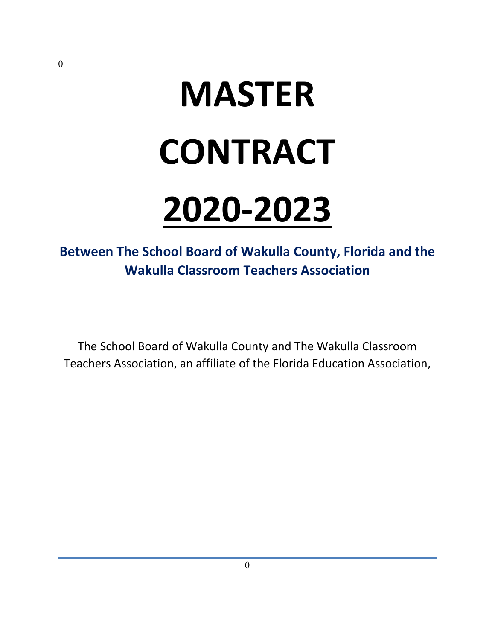# **MASTER CONTRACT**

## **2020-2023**

## **Between The School Board of Wakulla County, Florida and the Wakulla Classroom Teachers Association**

The School Board of Wakulla County and The Wakulla Classroom Teachers Association, an affiliate of the Florida Education Association,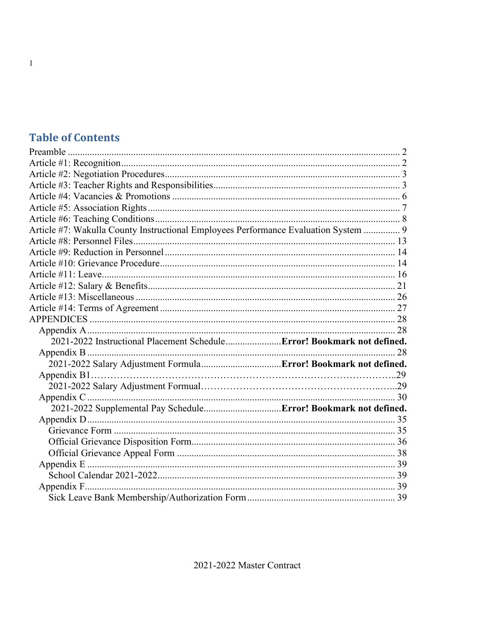## **Table of Contents**

| Article #7: Wakulla County Instructional Employees Performance Evaluation System  9 |    |
|-------------------------------------------------------------------------------------|----|
|                                                                                     |    |
|                                                                                     |    |
|                                                                                     |    |
|                                                                                     |    |
|                                                                                     |    |
|                                                                                     |    |
|                                                                                     |    |
|                                                                                     |    |
|                                                                                     |    |
| 2021-2022 Instructional Placement Schedule Error! Bookmark not defined.             |    |
|                                                                                     | 28 |
|                                                                                     |    |
|                                                                                     |    |
|                                                                                     |    |
|                                                                                     |    |
|                                                                                     |    |
|                                                                                     |    |
|                                                                                     |    |
|                                                                                     |    |
|                                                                                     |    |
|                                                                                     |    |
|                                                                                     |    |
|                                                                                     |    |
|                                                                                     |    |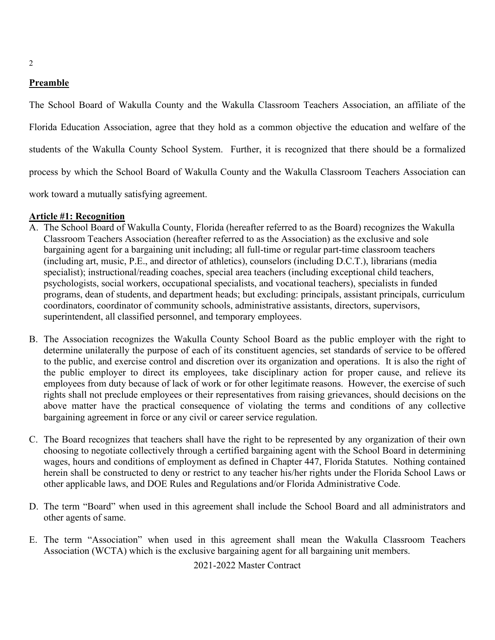#### <span id="page-2-0"></span>**Preamble**

The School Board of Wakulla County and the Wakulla Classroom Teachers Association, an affiliate of the Florida Education Association, agree that they hold as a common objective the education and welfare of the students of the Wakulla County School System. Further, it is recognized that there should be a formalized process by which the School Board of Wakulla County and the Wakulla Classroom Teachers Association can work toward a mutually satisfying agreement.

#### <span id="page-2-1"></span>**Article #1: Recognition**

- A. The School Board of Wakulla County, Florida (hereafter referred to as the Board) recognizes the Wakulla Classroom Teachers Association (hereafter referred to as the Association) as the exclusive and sole bargaining agent for a bargaining unit including; all full-time or regular part-time classroom teachers (including art, music, P.E., and director of athletics), counselors (including D.C.T.), librarians (media specialist); instructional/reading coaches, special area teachers (including exceptional child teachers, psychologists, social workers, occupational specialists, and vocational teachers), specialists in funded programs, dean of students, and department heads; but excluding: principals, assistant principals, curriculum coordinators, coordinator of community schools, administrative assistants, directors, supervisors, superintendent, all classified personnel, and temporary employees.
- B. The Association recognizes the Wakulla County School Board as the public employer with the right to determine unilaterally the purpose of each of its constituent agencies, set standards of service to be offered to the public, and exercise control and discretion over its organization and operations. It is also the right of the public employer to direct its employees, take disciplinary action for proper cause, and relieve its employees from duty because of lack of work or for other legitimate reasons. However, the exercise of such rights shall not preclude employees or their representatives from raising grievances, should decisions on the above matter have the practical consequence of violating the terms and conditions of any collective bargaining agreement in force or any civil or career service regulation.
- C. The Board recognizes that teachers shall have the right to be represented by any organization of their own choosing to negotiate collectively through a certified bargaining agent with the School Board in determining wages, hours and conditions of employment as defined in Chapter 447, Florida Statutes. Nothing contained herein shall be constructed to deny or restrict to any teacher his/her rights under the Florida School Laws or other applicable laws, and DOE Rules and Regulations and/or Florida Administrative Code.
- D. The term "Board" when used in this agreement shall include the School Board and all administrators and other agents of same.
- E. The term "Association" when used in this agreement shall mean the Wakulla Classroom Teachers Association (WCTA) which is the exclusive bargaining agent for all bargaining unit members.

2021-2022 Master Contract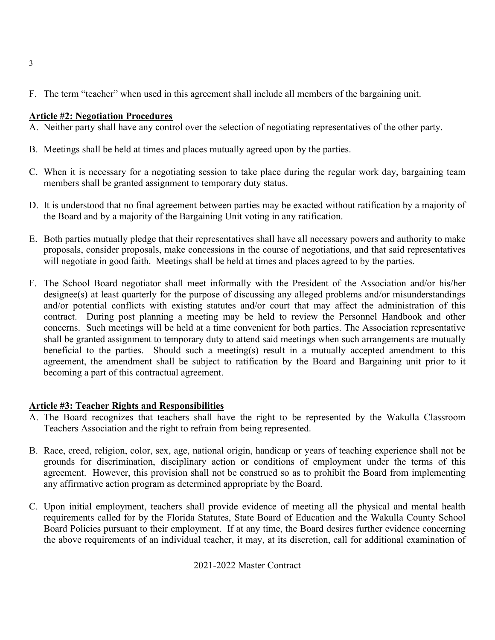F. The term "teacher" when used in this agreement shall include all members of the bargaining unit.

#### <span id="page-3-0"></span>**Article #2: Negotiation Procedures**

- A. Neither party shall have any control over the selection of negotiating representatives of the other party.
- B. Meetings shall be held at times and places mutually agreed upon by the parties.
- C. When it is necessary for a negotiating session to take place during the regular work day, bargaining team members shall be granted assignment to temporary duty status.
- D. It is understood that no final agreement between parties may be exacted without ratification by a majority of the Board and by a majority of the Bargaining Unit voting in any ratification.
- E. Both parties mutually pledge that their representatives shall have all necessary powers and authority to make proposals, consider proposals, make concessions in the course of negotiations, and that said representatives will negotiate in good faith. Meetings shall be held at times and places agreed to by the parties.
- F. The School Board negotiator shall meet informally with the President of the Association and/or his/her designee(s) at least quarterly for the purpose of discussing any alleged problems and/or misunderstandings and/or potential conflicts with existing statutes and/or court that may affect the administration of this contract. During post planning a meeting may be held to review the Personnel Handbook and other concerns. Such meetings will be held at a time convenient for both parties. The Association representative shall be granted assignment to temporary duty to attend said meetings when such arrangements are mutually beneficial to the parties. Should such a meeting(s) result in a mutually accepted amendment to this agreement, the amendment shall be subject to ratification by the Board and Bargaining unit prior to it becoming a part of this contractual agreement.

#### <span id="page-3-1"></span>**Article #3: Teacher Rights and Responsibilities**

- A. The Board recognizes that teachers shall have the right to be represented by the Wakulla Classroom Teachers Association and the right to refrain from being represented.
- B. Race, creed, religion, color, sex, age, national origin, handicap or years of teaching experience shall not be grounds for discrimination, disciplinary action or conditions of employment under the terms of this agreement. However, this provision shall not be construed so as to prohibit the Board from implementing any affirmative action program as determined appropriate by the Board.
- C. Upon initial employment, teachers shall provide evidence of meeting all the physical and mental health requirements called for by the Florida Statutes, State Board of Education and the Wakulla County School Board Policies pursuant to their employment. If at any time, the Board desires further evidence concerning the above requirements of an individual teacher, it may, at its discretion, call for additional examination of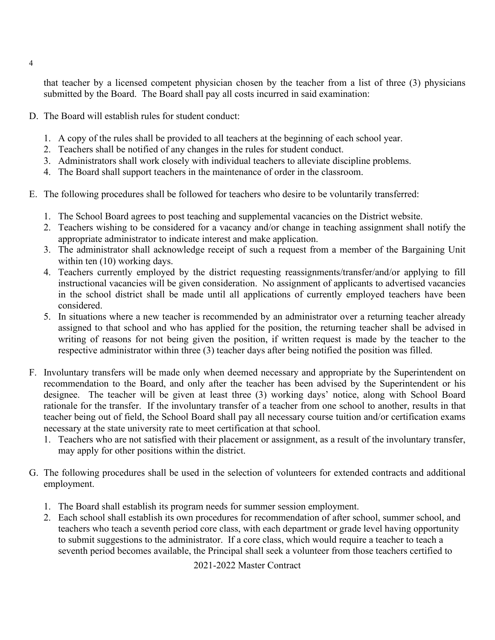that teacher by a licensed competent physician chosen by the teacher from a list of three (3) physicians submitted by the Board. The Board shall pay all costs incurred in said examination:

- D. The Board will establish rules for student conduct:
	- 1. A copy of the rules shall be provided to all teachers at the beginning of each school year.
	- 2. Teachers shall be notified of any changes in the rules for student conduct.
	- 3. Administrators shall work closely with individual teachers to alleviate discipline problems.
	- 4. The Board shall support teachers in the maintenance of order in the classroom.
- E. The following procedures shall be followed for teachers who desire to be voluntarily transferred:
	- 1. The School Board agrees to post teaching and supplemental vacancies on the District website.
	- 2. Teachers wishing to be considered for a vacancy and/or change in teaching assignment shall notify the appropriate administrator to indicate interest and make application.
	- 3. The administrator shall acknowledge receipt of such a request from a member of the Bargaining Unit within ten  $(10)$  working days.
	- 4. Teachers currently employed by the district requesting reassignments/transfer/and/or applying to fill instructional vacancies will be given consideration. No assignment of applicants to advertised vacancies in the school district shall be made until all applications of currently employed teachers have been considered.
	- 5. In situations where a new teacher is recommended by an administrator over a returning teacher already assigned to that school and who has applied for the position, the returning teacher shall be advised in writing of reasons for not being given the position, if written request is made by the teacher to the respective administrator within three (3) teacher days after being notified the position was filled.
- F. Involuntary transfers will be made only when deemed necessary and appropriate by the Superintendent on recommendation to the Board, and only after the teacher has been advised by the Superintendent or his designee. The teacher will be given at least three (3) working days' notice, along with School Board rationale for the transfer. If the involuntary transfer of a teacher from one school to another, results in that teacher being out of field, the School Board shall pay all necessary course tuition and/or certification exams necessary at the state university rate to meet certification at that school.
	- 1. Teachers who are not satisfied with their placement or assignment, as a result of the involuntary transfer, may apply for other positions within the district.
- G. The following procedures shall be used in the selection of volunteers for extended contracts and additional employment.
	- 1. The Board shall establish its program needs for summer session employment.
	- 2. Each school shall establish its own procedures for recommendation of after school, summer school, and teachers who teach a seventh period core class, with each department or grade level having opportunity to submit suggestions to the administrator. If a core class, which would require a teacher to teach a seventh period becomes available, the Principal shall seek a volunteer from those teachers certified to

#### 2021-2022 Master Contract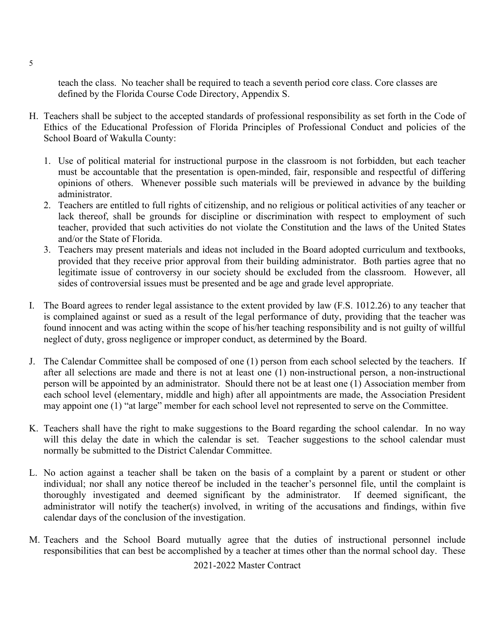teach the class. No teacher shall be required to teach a seventh period core class. Core classes are defined by the Florida Course Code Directory, Appendix S.

- H. Teachers shall be subject to the accepted standards of professional responsibility as set forth in the Code of Ethics of the Educational Profession of Florida Principles of Professional Conduct and policies of the School Board of Wakulla County:
	- 1. Use of political material for instructional purpose in the classroom is not forbidden, but each teacher must be accountable that the presentation is open-minded, fair, responsible and respectful of differing opinions of others. Whenever possible such materials will be previewed in advance by the building administrator.
	- 2. Teachers are entitled to full rights of citizenship, and no religious or political activities of any teacher or lack thereof, shall be grounds for discipline or discrimination with respect to employment of such teacher, provided that such activities do not violate the Constitution and the laws of the United States and/or the State of Florida.
	- 3. Teachers may present materials and ideas not included in the Board adopted curriculum and textbooks, provided that they receive prior approval from their building administrator. Both parties agree that no legitimate issue of controversy in our society should be excluded from the classroom. However, all sides of controversial issues must be presented and be age and grade level appropriate.
- I. The Board agrees to render legal assistance to the extent provided by law (F.S. 1012.26) to any teacher that is complained against or sued as a result of the legal performance of duty, providing that the teacher was found innocent and was acting within the scope of his/her teaching responsibility and is not guilty of willful neglect of duty, gross negligence or improper conduct, as determined by the Board.
- J. The Calendar Committee shall be composed of one (1) person from each school selected by the teachers. If after all selections are made and there is not at least one (1) non-instructional person, a non-instructional person will be appointed by an administrator. Should there not be at least one (1) Association member from each school level (elementary, middle and high) after all appointments are made, the Association President may appoint one (1) "at large" member for each school level not represented to serve on the Committee.
- K. Teachers shall have the right to make suggestions to the Board regarding the school calendar. In no way will this delay the date in which the calendar is set. Teacher suggestions to the school calendar must normally be submitted to the District Calendar Committee.
- L. No action against a teacher shall be taken on the basis of a complaint by a parent or student or other individual; nor shall any notice thereof be included in the teacher's personnel file, until the complaint is thoroughly investigated and deemed significant by the administrator. If deemed significant, the administrator will notify the teacher(s) involved, in writing of the accusations and findings, within five calendar days of the conclusion of the investigation.
- M. Teachers and the School Board mutually agree that the duties of instructional personnel include responsibilities that can best be accomplished by a teacher at times other than the normal school day. These

2021-2022 Master Contract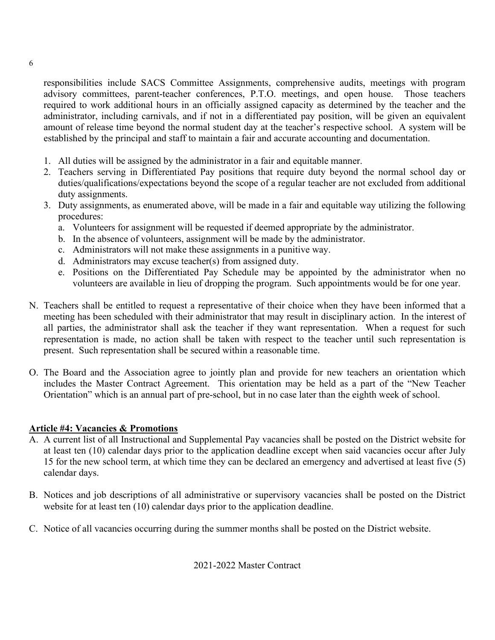responsibilities include SACS Committee Assignments, comprehensive audits, meetings with program advisory committees, parent-teacher conferences, P.T.O. meetings, and open house. Those teachers required to work additional hours in an officially assigned capacity as determined by the teacher and the administrator, including carnivals, and if not in a differentiated pay position, will be given an equivalent amount of release time beyond the normal student day at the teacher's respective school. A system will be established by the principal and staff to maintain a fair and accurate accounting and documentation.

- 1. All duties will be assigned by the administrator in a fair and equitable manner.
- 2. Teachers serving in Differentiated Pay positions that require duty beyond the normal school day or duties/qualifications/expectations beyond the scope of a regular teacher are not excluded from additional duty assignments.
- 3. Duty assignments, as enumerated above, will be made in a fair and equitable way utilizing the following procedures:
	- a. Volunteers for assignment will be requested if deemed appropriate by the administrator.
	- b. In the absence of volunteers, assignment will be made by the administrator.
	- c. Administrators will not make these assignments in a punitive way.
	- d. Administrators may excuse teacher(s) from assigned duty.
	- e. Positions on the Differentiated Pay Schedule may be appointed by the administrator when no volunteers are available in lieu of dropping the program. Such appointments would be for one year.
- N. Teachers shall be entitled to request a representative of their choice when they have been informed that a meeting has been scheduled with their administrator that may result in disciplinary action. In the interest of all parties, the administrator shall ask the teacher if they want representation. When a request for such representation is made, no action shall be taken with respect to the teacher until such representation is present. Such representation shall be secured within a reasonable time.
- O. The Board and the Association agree to jointly plan and provide for new teachers an orientation which includes the Master Contract Agreement. This orientation may be held as a part of the "New Teacher Orientation" which is an annual part of pre-school, but in no case later than the eighth week of school.

#### <span id="page-6-0"></span>**Article #4: Vacancies & Promotions**

- A. A current list of all Instructional and Supplemental Pay vacancies shall be posted on the District website for at least ten (10) calendar days prior to the application deadline except when said vacancies occur after July 15 for the new school term, at which time they can be declared an emergency and advertised at least five (5) calendar days.
- B. Notices and job descriptions of all administrative or supervisory vacancies shall be posted on the District website for at least ten (10) calendar days prior to the application deadline.
- C. Notice of all vacancies occurring during the summer months shall be posted on the District website.

2021-2022 Master Contract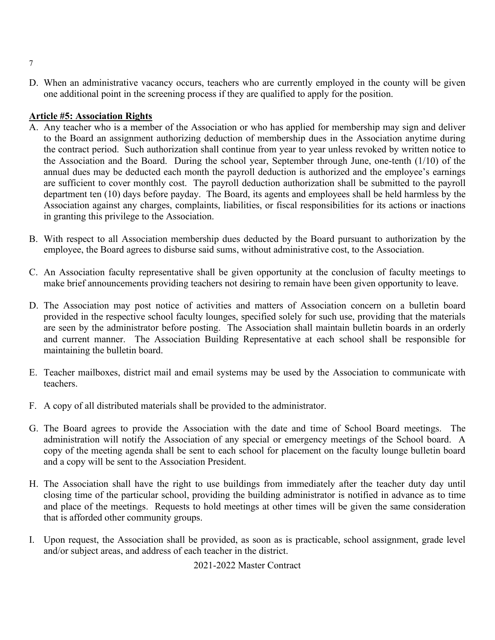D. When an administrative vacancy occurs, teachers who are currently employed in the county will be given one additional point in the screening process if they are qualified to apply for the position.

#### <span id="page-7-0"></span>**Article #5: Association Rights**

- A. Any teacher who is a member of the Association or who has applied for membership may sign and deliver to the Board an assignment authorizing deduction of membership dues in the Association anytime during the contract period. Such authorization shall continue from year to year unless revoked by written notice to the Association and the Board. During the school year, September through June, one-tenth (1/10) of the annual dues may be deducted each month the payroll deduction is authorized and the employee's earnings are sufficient to cover monthly cost. The payroll deduction authorization shall be submitted to the payroll department ten (10) days before payday. The Board, its agents and employees shall be held harmless by the Association against any charges, complaints, liabilities, or fiscal responsibilities for its actions or inactions in granting this privilege to the Association.
- B. With respect to all Association membership dues deducted by the Board pursuant to authorization by the employee, the Board agrees to disburse said sums, without administrative cost, to the Association.
- C. An Association faculty representative shall be given opportunity at the conclusion of faculty meetings to make brief announcements providing teachers not desiring to remain have been given opportunity to leave.
- D. The Association may post notice of activities and matters of Association concern on a bulletin board provided in the respective school faculty lounges, specified solely for such use, providing that the materials are seen by the administrator before posting. The Association shall maintain bulletin boards in an orderly and current manner. The Association Building Representative at each school shall be responsible for maintaining the bulletin board.
- E. Teacher mailboxes, district mail and email systems may be used by the Association to communicate with teachers.
- F. A copy of all distributed materials shall be provided to the administrator.
- G. The Board agrees to provide the Association with the date and time of School Board meetings. The administration will notify the Association of any special or emergency meetings of the School board. A copy of the meeting agenda shall be sent to each school for placement on the faculty lounge bulletin board and a copy will be sent to the Association President.
- H. The Association shall have the right to use buildings from immediately after the teacher duty day until closing time of the particular school, providing the building administrator is notified in advance as to time and place of the meetings. Requests to hold meetings at other times will be given the same consideration that is afforded other community groups.
- I. Upon request, the Association shall be provided, as soon as is practicable, school assignment, grade level and/or subject areas, and address of each teacher in the district.

2021-2022 Master Contract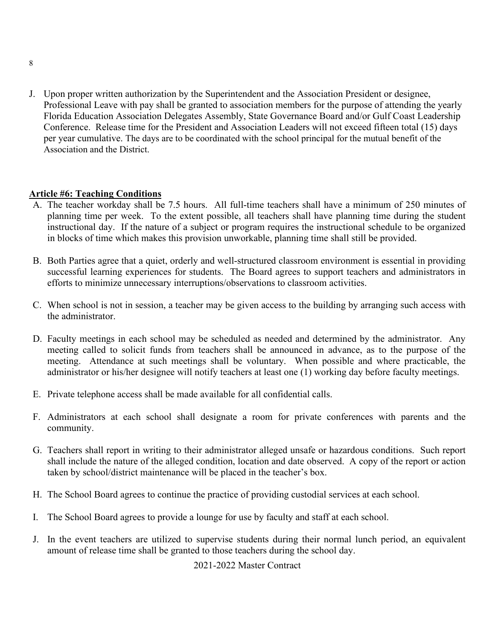J. Upon proper written authorization by the Superintendent and the Association President or designee, Professional Leave with pay shall be granted to association members for the purpose of attending the yearly Florida Education Association Delegates Assembly, State Governance Board and/or Gulf Coast Leadership Conference. Release time for the President and Association Leaders will not exceed fifteen total (15) days per year cumulative. The days are to be coordinated with the school principal for the mutual benefit of the Association and the District.

#### <span id="page-8-0"></span>**Article #6: Teaching Conditions**

- A. The teacher workday shall be 7.5 hours. All full-time teachers shall have a minimum of 250 minutes of planning time per week. To the extent possible, all teachers shall have planning time during the student instructional day. If the nature of a subject or program requires the instructional schedule to be organized in blocks of time which makes this provision unworkable, planning time shall still be provided.
- B. Both Parties agree that a quiet, orderly and well-structured classroom environment is essential in providing successful learning experiences for students. The Board agrees to support teachers and administrators in efforts to minimize unnecessary interruptions/observations to classroom activities.
- C. When school is not in session, a teacher may be given access to the building by arranging such access with the administrator.
- D. Faculty meetings in each school may be scheduled as needed and determined by the administrator. Any meeting called to solicit funds from teachers shall be announced in advance, as to the purpose of the meeting. Attendance at such meetings shall be voluntary. When possible and where practicable, the administrator or his/her designee will notify teachers at least one (1) working day before faculty meetings.
- E. Private telephone access shall be made available for all confidential calls.
- F. Administrators at each school shall designate a room for private conferences with parents and the community.
- G. Teachers shall report in writing to their administrator alleged unsafe or hazardous conditions. Such report shall include the nature of the alleged condition, location and date observed. A copy of the report or action taken by school/district maintenance will be placed in the teacher's box.
- H. The School Board agrees to continue the practice of providing custodial services at each school.
- I. The School Board agrees to provide a lounge for use by faculty and staff at each school.
- J. In the event teachers are utilized to supervise students during their normal lunch period, an equivalent amount of release time shall be granted to those teachers during the school day.

2021-2022 Master Contract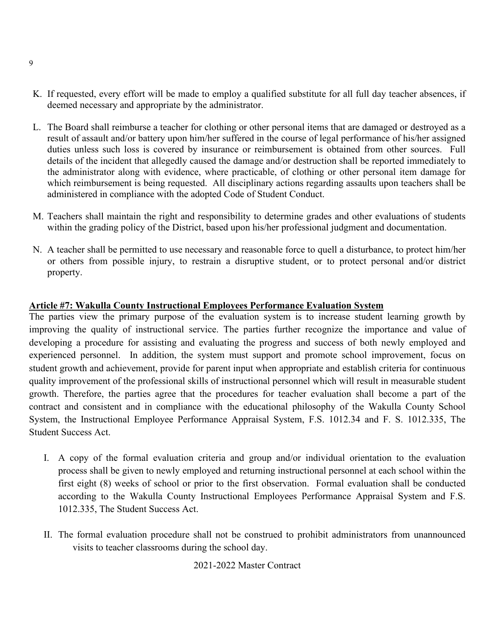- K. If requested, every effort will be made to employ a qualified substitute for all full day teacher absences, if deemed necessary and appropriate by the administrator.
- L. The Board shall reimburse a teacher for clothing or other personal items that are damaged or destroyed as a result of assault and/or battery upon him/her suffered in the course of legal performance of his/her assigned duties unless such loss is covered by insurance or reimbursement is obtained from other sources. Full details of the incident that allegedly caused the damage and/or destruction shall be reported immediately to the administrator along with evidence, where practicable, of clothing or other personal item damage for which reimbursement is being requested. All disciplinary actions regarding assaults upon teachers shall be administered in compliance with the adopted Code of Student Conduct.
- M. Teachers shall maintain the right and responsibility to determine grades and other evaluations of students within the grading policy of the District, based upon his/her professional judgment and documentation.
- N. A teacher shall be permitted to use necessary and reasonable force to quell a disturbance, to protect him/her or others from possible injury, to restrain a disruptive student, or to protect personal and/or district property.

#### <span id="page-9-0"></span>**Article #7: Wakulla County Instructional Employees Performance Evaluation System**

The parties view the primary purpose of the evaluation system is to increase student learning growth by improving the quality of instructional service. The parties further recognize the importance and value of developing a procedure for assisting and evaluating the progress and success of both newly employed and experienced personnel. In addition, the system must support and promote school improvement, focus on student growth and achievement, provide for parent input when appropriate and establish criteria for continuous quality improvement of the professional skills of instructional personnel which will result in measurable student growth. Therefore, the parties agree that the procedures for teacher evaluation shall become a part of the contract and consistent and in compliance with the educational philosophy of the Wakulla County School System, the Instructional Employee Performance Appraisal System, F.S. 1012.34 and F. S. 1012.335, The Student Success Act.

- I. A copy of the formal evaluation criteria and group and/or individual orientation to the evaluation process shall be given to newly employed and returning instructional personnel at each school within the first eight (8) weeks of school or prior to the first observation. Formal evaluation shall be conducted according to the Wakulla County Instructional Employees Performance Appraisal System and F.S. 1012.335, The Student Success Act.
- II. The formal evaluation procedure shall not be construed to prohibit administrators from unannounced visits to teacher classrooms during the school day.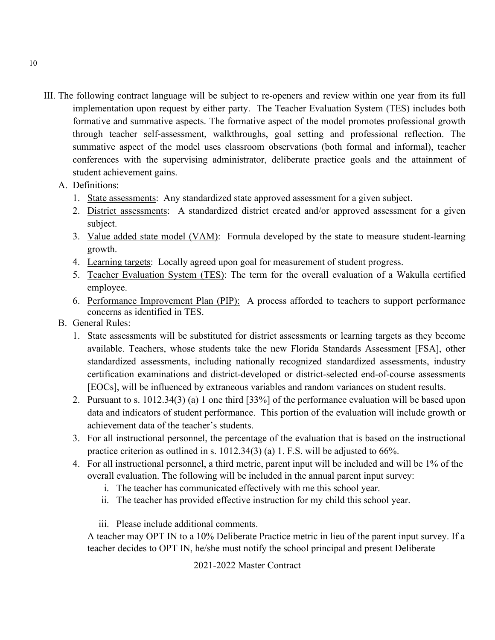III. The following contract language will be subject to re-openers and review within one year from its full implementation upon request by either party. The Teacher Evaluation System (TES) includes both formative and summative aspects. The formative aspect of the model promotes professional growth through teacher self-assessment, walkthroughs, goal setting and professional reflection. The summative aspect of the model uses classroom observations (both formal and informal), teacher conferences with the supervising administrator, deliberate practice goals and the attainment of student achievement gains.

#### A. Definitions:

- 1. State assessments: Any standardized state approved assessment for a given subject.
- 2. District assessments: A standardized district created and/or approved assessment for a given subject.
- 3. Value added state model (VAM): Formula developed by the state to measure student-learning growth.
- 4. Learning targets: Locally agreed upon goal for measurement of student progress.
- 5. Teacher Evaluation System (TES): The term for the overall evaluation of a Wakulla certified employee.
- 6. Performance Improvement Plan (PIP): A process afforded to teachers to support performance concerns as identified in TES.
- B. General Rules:
	- 1. State assessments will be substituted for district assessments or learning targets as they become available. Teachers, whose students take the new Florida Standards Assessment [FSA], other standardized assessments, including nationally recognized standardized assessments, industry certification examinations and district-developed or district-selected end-of-course assessments [EOCs], will be influenced by extraneous variables and random variances on student results.
	- 2. Pursuant to s. 1012.34(3) (a) 1 one third [33%] of the performance evaluation will be based upon data and indicators of student performance. This portion of the evaluation will include growth or achievement data of the teacher's students.
	- 3. For all instructional personnel, the percentage of the evaluation that is based on the instructional practice criterion as outlined in s. 1012.34(3) (a) 1. F.S. will be adjusted to 66%.
	- 4. For all instructional personnel, a third metric, parent input will be included and will be 1% of the overall evaluation. The following will be included in the annual parent input survey:
		- i. The teacher has communicated effectively with me this school year.
		- ii. The teacher has provided effective instruction for my child this school year.
		- iii. Please include additional comments.

A teacher may OPT IN to a 10% Deliberate Practice metric in lieu of the parent input survey. If a teacher decides to OPT IN, he/she must notify the school principal and present Deliberate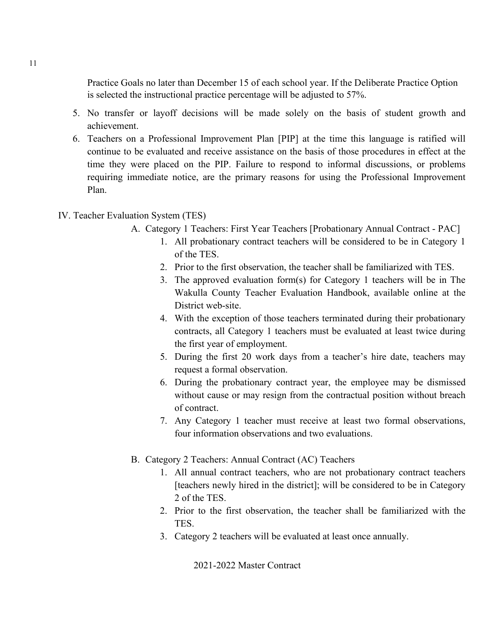Practice Goals no later than December 15 of each school year. If the Deliberate Practice Option is selected the instructional practice percentage will be adjusted to 57%.

- 5. No transfer or layoff decisions will be made solely on the basis of student growth and achievement.
- 6. Teachers on a Professional Improvement Plan [PIP] at the time this language is ratified will continue to be evaluated and receive assistance on the basis of those procedures in effect at the time they were placed on the PIP. Failure to respond to informal discussions, or problems requiring immediate notice, are the primary reasons for using the Professional Improvement Plan.

#### IV. Teacher Evaluation System (TES)

- A. Category 1 Teachers: First Year Teachers [Probationary Annual Contract PAC]
	- 1. All probationary contract teachers will be considered to be in Category 1 of the TES.
	- 2. Prior to the first observation, the teacher shall be familiarized with TES.
	- 3. The approved evaluation form(s) for Category 1 teachers will be in The Wakulla County Teacher Evaluation Handbook, available online at the District web-site.
	- 4. With the exception of those teachers terminated during their probationary contracts, all Category 1 teachers must be evaluated at least twice during the first year of employment.
	- 5. During the first 20 work days from a teacher's hire date, teachers may request a formal observation.
	- 6. During the probationary contract year, the employee may be dismissed without cause or may resign from the contractual position without breach of contract.
	- 7. Any Category 1 teacher must receive at least two formal observations, four information observations and two evaluations.
- B. Category 2 Teachers: Annual Contract (AC) Teachers
	- 1. All annual contract teachers, who are not probationary contract teachers [teachers newly hired in the district]; will be considered to be in Category 2 of the TES.
	- 2. Prior to the first observation, the teacher shall be familiarized with the TES.
	- 3. Category 2 teachers will be evaluated at least once annually.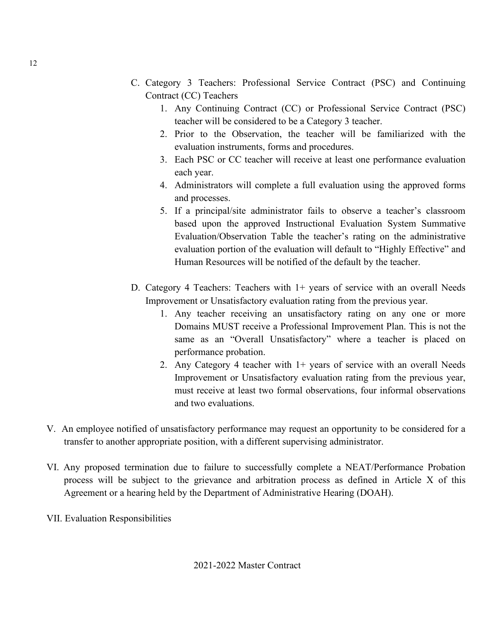- C. Category 3 Teachers: Professional Service Contract (PSC) and Continuing Contract (CC) Teachers
	- 1. Any Continuing Contract (CC) or Professional Service Contract (PSC) teacher will be considered to be a Category 3 teacher.
	- 2. Prior to the Observation, the teacher will be familiarized with the evaluation instruments, forms and procedures.
	- 3. Each PSC or CC teacher will receive at least one performance evaluation each year.
	- 4. Administrators will complete a full evaluation using the approved forms and processes.
	- 5. If a principal/site administrator fails to observe a teacher's classroom based upon the approved Instructional Evaluation System Summative Evaluation/Observation Table the teacher's rating on the administrative evaluation portion of the evaluation will default to "Highly Effective" and Human Resources will be notified of the default by the teacher.
- D. Category 4 Teachers: Teachers with 1+ years of service with an overall Needs Improvement or Unsatisfactory evaluation rating from the previous year.
	- 1. Any teacher receiving an unsatisfactory rating on any one or more Domains MUST receive a Professional Improvement Plan. This is not the same as an "Overall Unsatisfactory" where a teacher is placed on performance probation.
	- 2. Any Category 4 teacher with 1+ years of service with an overall Needs Improvement or Unsatisfactory evaluation rating from the previous year, must receive at least two formal observations, four informal observations and two evaluations.
- V. An employee notified of unsatisfactory performance may request an opportunity to be considered for a transfer to another appropriate position, with a different supervising administrator.
- VI. Any proposed termination due to failure to successfully complete a NEAT/Performance Probation process will be subject to the grievance and arbitration process as defined in Article X of this Agreement or a hearing held by the Department of Administrative Hearing (DOAH).
- VII. Evaluation Responsibilities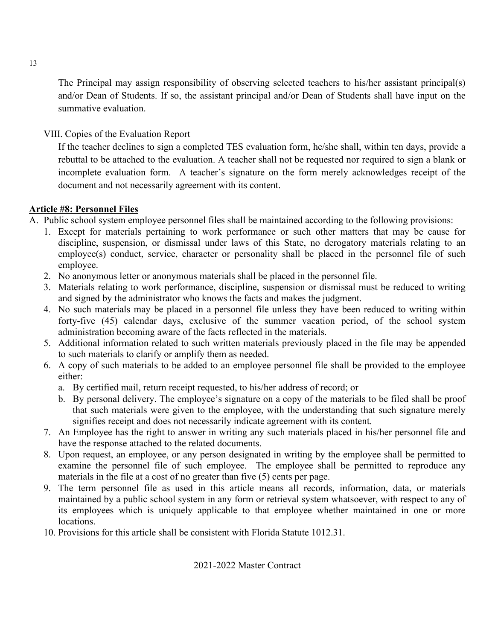The Principal may assign responsibility of observing selected teachers to his/her assistant principal(s) and/or Dean of Students. If so, the assistant principal and/or Dean of Students shall have input on the summative evaluation.

VIII. Copies of the Evaluation Report

If the teacher declines to sign a completed TES evaluation form, he/she shall, within ten days, provide a rebuttal to be attached to the evaluation. A teacher shall not be requested nor required to sign a blank or incomplete evaluation form. A teacher's signature on the form merely acknowledges receipt of the document and not necessarily agreement with its content.

#### <span id="page-13-0"></span>**Article #8: Personnel Files**

- A. Public school system employee personnel files shall be maintained according to the following provisions:
	- 1. Except for materials pertaining to work performance or such other matters that may be cause for discipline, suspension, or dismissal under laws of this State, no derogatory materials relating to an employee(s) conduct, service, character or personality shall be placed in the personnel file of such employee.
	- 2. No anonymous letter or anonymous materials shall be placed in the personnel file.
	- 3. Materials relating to work performance, discipline, suspension or dismissal must be reduced to writing and signed by the administrator who knows the facts and makes the judgment.
	- 4. No such materials may be placed in a personnel file unless they have been reduced to writing within forty-five (45) calendar days, exclusive of the summer vacation period, of the school system administration becoming aware of the facts reflected in the materials.
	- 5. Additional information related to such written materials previously placed in the file may be appended to such materials to clarify or amplify them as needed.
	- 6. A copy of such materials to be added to an employee personnel file shall be provided to the employee either:
		- a. By certified mail, return receipt requested, to his/her address of record; or
		- b. By personal delivery. The employee's signature on a copy of the materials to be filed shall be proof that such materials were given to the employee, with the understanding that such signature merely signifies receipt and does not necessarily indicate agreement with its content.
	- 7. An Employee has the right to answer in writing any such materials placed in his/her personnel file and have the response attached to the related documents.
	- 8. Upon request, an employee, or any person designated in writing by the employee shall be permitted to examine the personnel file of such employee. The employee shall be permitted to reproduce any materials in the file at a cost of no greater than five (5) cents per page.
	- 9. The term personnel file as used in this article means all records, information, data, or materials maintained by a public school system in any form or retrieval system whatsoever, with respect to any of its employees which is uniquely applicable to that employee whether maintained in one or more locations.
	- 10. Provisions for this article shall be consistent with Florida Statute 1012.31.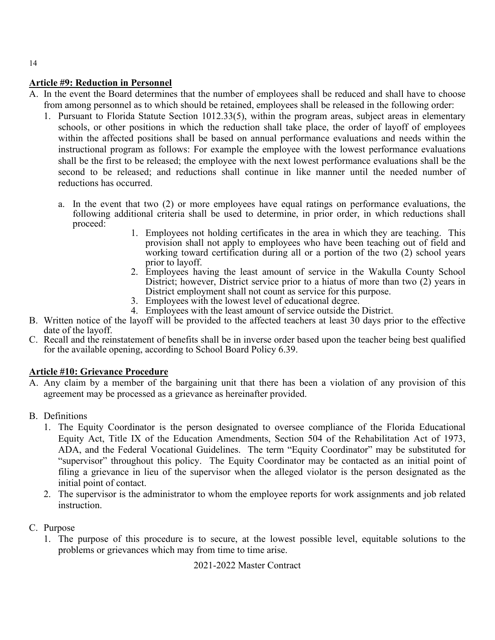#### <span id="page-14-0"></span>**Article #9: Reduction in Personnel**

- A. In the event the Board determines that the number of employees shall be reduced and shall have to choose from among personnel as to which should be retained, employees shall be released in the following order:
	- 1. Pursuant to Florida Statute Section 1012.33(5), within the program areas, subject areas in elementary schools, or other positions in which the reduction shall take place, the order of layoff of employees within the affected positions shall be based on annual performance evaluations and needs within the instructional program as follows: For example the employee with the lowest performance evaluations shall be the first to be released; the employee with the next lowest performance evaluations shall be the second to be released; and reductions shall continue in like manner until the needed number of reductions has occurred.
		- a. In the event that two (2) or more employees have equal ratings on performance evaluations, the following additional criteria shall be used to determine, in prior order, in which reductions shall proceed:
			- 1. Employees not holding certificates in the area in which they are teaching. This provision shall not apply to employees who have been teaching out of field and working toward certification during all or a portion of the two (2) school years prior to layoff.
			- 2. Employees having the least amount of service in the Wakulla County School District; however, District service prior to a hiatus of more than two (2) years in District employment shall not count as service for this purpose.
			- 3. Employees with the lowest level of educational degree.
			- 4. Employees with the least amount of service outside the District.
- B. Written notice of the layoff will be provided to the affected teachers at least 30 days prior to the effective date of the layoff.
- C. Recall and the reinstatement of benefits shall be in inverse order based upon the teacher being best qualified for the available opening, according to School Board Policy 6.39.

#### <span id="page-14-1"></span>**Article #10: Grievance Procedure**

A. Any claim by a member of the bargaining unit that there has been a violation of any provision of this agreement may be processed as a grievance as hereinafter provided.

#### B. Definitions

- 1. The Equity Coordinator is the person designated to oversee compliance of the Florida Educational Equity Act, Title IX of the Education Amendments, Section 504 of the Rehabilitation Act of 1973, ADA, and the Federal Vocational Guidelines. The term "Equity Coordinator" may be substituted for "supervisor" throughout this policy. The Equity Coordinator may be contacted as an initial point of filing a grievance in lieu of the supervisor when the alleged violator is the person designated as the initial point of contact.
- 2. The supervisor is the administrator to whom the employee reports for work assignments and job related instruction.

#### C. Purpose

1. The purpose of this procedure is to secure, at the lowest possible level, equitable solutions to the problems or grievances which may from time to time arise.

2021-2022 Master Contract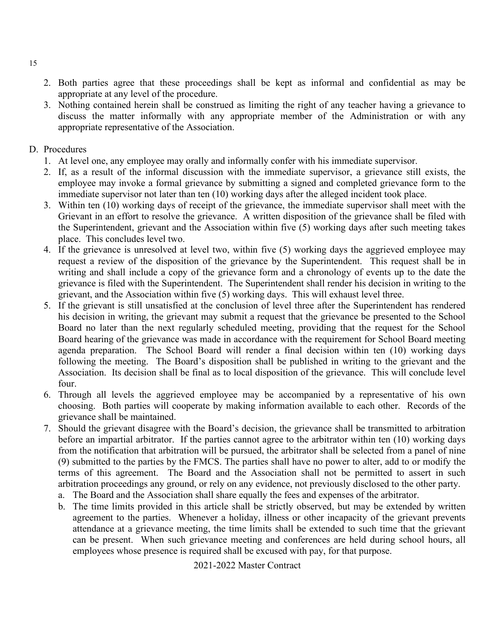- 2. Both parties agree that these proceedings shall be kept as informal and confidential as may be appropriate at any level of the procedure.
- 3. Nothing contained herein shall be construed as limiting the right of any teacher having a grievance to discuss the matter informally with any appropriate member of the Administration or with any appropriate representative of the Association.
- D. Procedures
	- 1. At level one, any employee may orally and informally confer with his immediate supervisor.
	- 2. If, as a result of the informal discussion with the immediate supervisor, a grievance still exists, the employee may invoke a formal grievance by submitting a signed and completed grievance form to the immediate supervisor not later than ten (10) working days after the alleged incident took place.
	- 3. Within ten (10) working days of receipt of the grievance, the immediate supervisor shall meet with the Grievant in an effort to resolve the grievance. A written disposition of the grievance shall be filed with the Superintendent, grievant and the Association within five (5) working days after such meeting takes place. This concludes level two.
	- 4. If the grievance is unresolved at level two, within five (5) working days the aggrieved employee may request a review of the disposition of the grievance by the Superintendent. This request shall be in writing and shall include a copy of the grievance form and a chronology of events up to the date the grievance is filed with the Superintendent. The Superintendent shall render his decision in writing to the grievant, and the Association within five (5) working days. This will exhaust level three.
	- 5. If the grievant is still unsatisfied at the conclusion of level three after the Superintendent has rendered his decision in writing, the grievant may submit a request that the grievance be presented to the School Board no later than the next regularly scheduled meeting, providing that the request for the School Board hearing of the grievance was made in accordance with the requirement for School Board meeting agenda preparation. The School Board will render a final decision within ten (10) working days following the meeting. The Board's disposition shall be published in writing to the grievant and the Association. Its decision shall be final as to local disposition of the grievance. This will conclude level four.
	- 6. Through all levels the aggrieved employee may be accompanied by a representative of his own choosing. Both parties will cooperate by making information available to each other. Records of the grievance shall be maintained.
	- 7. Should the grievant disagree with the Board's decision, the grievance shall be transmitted to arbitration before an impartial arbitrator. If the parties cannot agree to the arbitrator within ten (10) working days from the notification that arbitration will be pursued, the arbitrator shall be selected from a panel of nine (9) submitted to the parties by the FMCS. The parties shall have no power to alter, add to or modify the terms of this agreement. The Board and the Association shall not be permitted to assert in such arbitration proceedings any ground, or rely on any evidence, not previously disclosed to the other party.
		- a. The Board and the Association shall share equally the fees and expenses of the arbitrator.
		- b. The time limits provided in this article shall be strictly observed, but may be extended by written agreement to the parties. Whenever a holiday, illness or other incapacity of the grievant prevents attendance at a grievance meeting, the time limits shall be extended to such time that the grievant can be present. When such grievance meeting and conferences are held during school hours, all employees whose presence is required shall be excused with pay, for that purpose.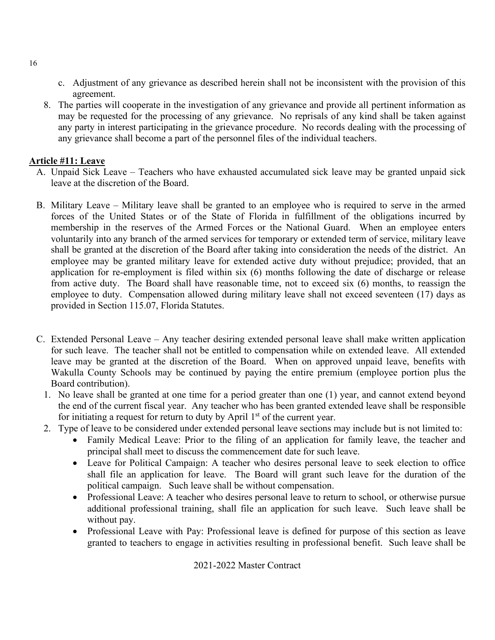- c. Adjustment of any grievance as described herein shall not be inconsistent with the provision of this agreement.
- 8. The parties will cooperate in the investigation of any grievance and provide all pertinent information as may be requested for the processing of any grievance. No reprisals of any kind shall be taken against any party in interest participating in the grievance procedure. No records dealing with the processing of any grievance shall become a part of the personnel files of the individual teachers.

#### <span id="page-16-0"></span>**Article #11: Leave**

- A. Unpaid Sick Leave Teachers who have exhausted accumulated sick leave may be granted unpaid sick leave at the discretion of the Board.
- B. Military Leave Military leave shall be granted to an employee who is required to serve in the armed forces of the United States or of the State of Florida in fulfillment of the obligations incurred by membership in the reserves of the Armed Forces or the National Guard. When an employee enters voluntarily into any branch of the armed services for temporary or extended term of service, military leave shall be granted at the discretion of the Board after taking into consideration the needs of the district. An employee may be granted military leave for extended active duty without prejudice; provided, that an application for re-employment is filed within six (6) months following the date of discharge or release from active duty. The Board shall have reasonable time, not to exceed six (6) months, to reassign the employee to duty. Compensation allowed during military leave shall not exceed seventeen (17) days as provided in Section 115.07, Florida Statutes.
- C. Extended Personal Leave Any teacher desiring extended personal leave shall make written application for such leave. The teacher shall not be entitled to compensation while on extended leave. All extended leave may be granted at the discretion of the Board. When on approved unpaid leave, benefits with Wakulla County Schools may be continued by paying the entire premium (employee portion plus the Board contribution).
	- 1. No leave shall be granted at one time for a period greater than one (1) year, and cannot extend beyond the end of the current fiscal year. Any teacher who has been granted extended leave shall be responsible for initiating a request for return to duty by April  $1<sup>st</sup>$  of the current year.
	- 2. Type of leave to be considered under extended personal leave sections may include but is not limited to:
		- Family Medical Leave: Prior to the filing of an application for family leave, the teacher and principal shall meet to discuss the commencement date for such leave.
		- Leave for Political Campaign: A teacher who desires personal leave to seek election to office shall file an application for leave. The Board will grant such leave for the duration of the political campaign. Such leave shall be without compensation.
		- Professional Leave: A teacher who desires personal leave to return to school, or otherwise pursue additional professional training, shall file an application for such leave. Such leave shall be without pay.
		- Professional Leave with Pay: Professional leave is defined for purpose of this section as leave granted to teachers to engage in activities resulting in professional benefit. Such leave shall be

#### 2021-2022 Master Contract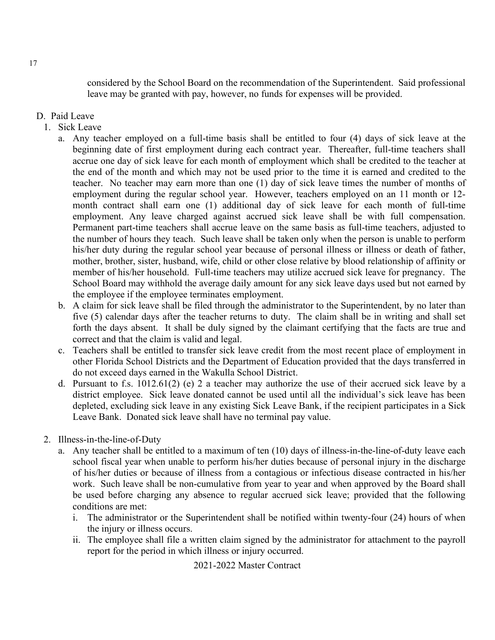considered by the School Board on the recommendation of the Superintendent. Said professional leave may be granted with pay, however, no funds for expenses will be provided.

#### D. Paid Leave

- 1. Sick Leave
	- a. Any teacher employed on a full-time basis shall be entitled to four (4) days of sick leave at the beginning date of first employment during each contract year. Thereafter, full-time teachers shall accrue one day of sick leave for each month of employment which shall be credited to the teacher at the end of the month and which may not be used prior to the time it is earned and credited to the teacher. No teacher may earn more than one (1) day of sick leave times the number of months of employment during the regular school year. However, teachers employed on an 11 month or 12 month contract shall earn one (1) additional day of sick leave for each month of full-time employment. Any leave charged against accrued sick leave shall be with full compensation. Permanent part-time teachers shall accrue leave on the same basis as full-time teachers, adjusted to the number of hours they teach. Such leave shall be taken only when the person is unable to perform his/her duty during the regular school year because of personal illness or illness or death of father, mother, brother, sister, husband, wife, child or other close relative by blood relationship of affinity or member of his/her household. Full-time teachers may utilize accrued sick leave for pregnancy. The School Board may withhold the average daily amount for any sick leave days used but not earned by the employee if the employee terminates employment.
	- b. A claim for sick leave shall be filed through the administrator to the Superintendent, by no later than five (5) calendar days after the teacher returns to duty. The claim shall be in writing and shall set forth the days absent. It shall be duly signed by the claimant certifying that the facts are true and correct and that the claim is valid and legal.
	- c. Teachers shall be entitled to transfer sick leave credit from the most recent place of employment in other Florida School Districts and the Department of Education provided that the days transferred in do not exceed days earned in the Wakulla School District.
	- d. Pursuant to f.s. 1012.61(2) (e) 2 a teacher may authorize the use of their accrued sick leave by a district employee. Sick leave donated cannot be used until all the individual's sick leave has been depleted, excluding sick leave in any existing Sick Leave Bank, if the recipient participates in a Sick Leave Bank. Donated sick leave shall have no terminal pay value.
- 2. Illness-in-the-line-of-Duty
	- a. Any teacher shall be entitled to a maximum of ten (10) days of illness-in-the-line-of-duty leave each school fiscal year when unable to perform his/her duties because of personal injury in the discharge of his/her duties or because of illness from a contagious or infectious disease contracted in his/her work. Such leave shall be non-cumulative from year to year and when approved by the Board shall be used before charging any absence to regular accrued sick leave; provided that the following conditions are met:
		- i. The administrator or the Superintendent shall be notified within twenty-four (24) hours of when the injury or illness occurs.
		- ii. The employee shall file a written claim signed by the administrator for attachment to the payroll report for the period in which illness or injury occurred.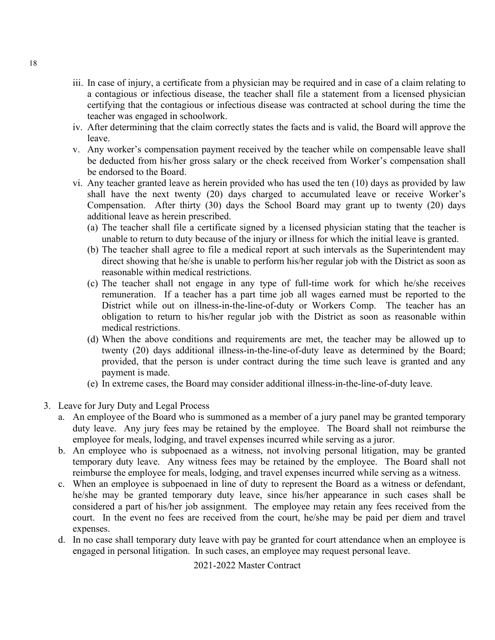- iii. In case of injury, a certificate from a physician may be required and in case of a claim relating to a contagious or infectious disease, the teacher shall file a statement from a licensed physician certifying that the contagious or infectious disease was contracted at school during the time the teacher was engaged in schoolwork.
- iv. After determining that the claim correctly states the facts and is valid, the Board will approve the leave.
- v. Any worker's compensation payment received by the teacher while on compensable leave shall be deducted from his/her gross salary or the check received from Worker's compensation shall be endorsed to the Board.
- vi. Any teacher granted leave as herein provided who has used the ten (10) days as provided by law shall have the next twenty (20) days charged to accumulated leave or receive Worker's Compensation. After thirty (30) days the School Board may grant up to twenty (20) days additional leave as herein prescribed.
	- (a) The teacher shall file a certificate signed by a licensed physician stating that the teacher is unable to return to duty because of the injury or illness for which the initial leave is granted.
	- (b) The teacher shall agree to file a medical report at such intervals as the Superintendent may direct showing that he/she is unable to perform his/her regular job with the District as soon as reasonable within medical restrictions.
	- (c) The teacher shall not engage in any type of full-time work for which he/she receives remuneration. If a teacher has a part time job all wages earned must be reported to the District while out on illness-in-the-line-of-duty or Workers Comp. The teacher has an obligation to return to his/her regular job with the District as soon as reasonable within medical restrictions.
	- (d) When the above conditions and requirements are met, the teacher may be allowed up to twenty (20) days additional illness-in-the-line-of-duty leave as determined by the Board; provided, that the person is under contract during the time such leave is granted and any payment is made.
	- (e) In extreme cases, the Board may consider additional illness-in-the-line-of-duty leave.
- 3. Leave for Jury Duty and Legal Process
	- a. An employee of the Board who is summoned as a member of a jury panel may be granted temporary duty leave. Any jury fees may be retained by the employee. The Board shall not reimburse the employee for meals, lodging, and travel expenses incurred while serving as a juror.
	- b. An employee who is subpoenaed as a witness, not involving personal litigation, may be granted temporary duty leave. Any witness fees may be retained by the employee. The Board shall not reimburse the employee for meals, lodging, and travel expenses incurred while serving as a witness.
	- c. When an employee is subpoenaed in line of duty to represent the Board as a witness or defendant, he/she may be granted temporary duty leave, since his/her appearance in such cases shall be considered a part of his/her job assignment. The employee may retain any fees received from the court. In the event no fees are received from the court, he/she may be paid per diem and travel expenses.
	- d. In no case shall temporary duty leave with pay be granted for court attendance when an employee is engaged in personal litigation. In such cases, an employee may request personal leave.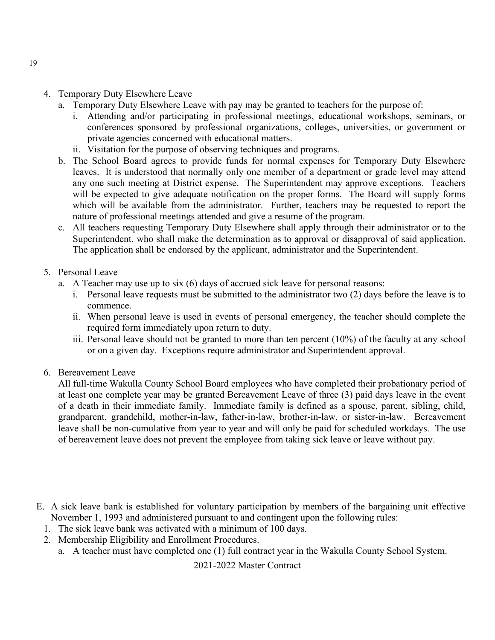- 4. Temporary Duty Elsewhere Leave
	- a. Temporary Duty Elsewhere Leave with pay may be granted to teachers for the purpose of:
		- i. Attending and/or participating in professional meetings, educational workshops, seminars, or conferences sponsored by professional organizations, colleges, universities, or government or private agencies concerned with educational matters.
		- ii. Visitation for the purpose of observing techniques and programs.
	- b. The School Board agrees to provide funds for normal expenses for Temporary Duty Elsewhere leaves. It is understood that normally only one member of a department or grade level may attend any one such meeting at District expense. The Superintendent may approve exceptions. Teachers will be expected to give adequate notification on the proper forms. The Board will supply forms which will be available from the administrator. Further, teachers may be requested to report the nature of professional meetings attended and give a resume of the program.
	- c. All teachers requesting Temporary Duty Elsewhere shall apply through their administrator or to the Superintendent, who shall make the determination as to approval or disapproval of said application. The application shall be endorsed by the applicant, administrator and the Superintendent.
- 5. Personal Leave
	- a. A Teacher may use up to six (6) days of accrued sick leave for personal reasons:
		- i. Personal leave requests must be submitted to the administrator two (2) days before the leave is to commence.
		- ii. When personal leave is used in events of personal emergency, the teacher should complete the required form immediately upon return to duty.
		- iii. Personal leave should not be granted to more than ten percent (10%) of the faculty at any school or on a given day. Exceptions require administrator and Superintendent approval.
- 6. Bereavement Leave

All full-time Wakulla County School Board employees who have completed their probationary period of at least one complete year may be granted Bereavement Leave of three (3) paid days leave in the event of a death in their immediate family. Immediate family is defined as a spouse, parent, sibling, child, grandparent, grandchild, mother-in-law, father-in-law, brother-in-law, or sister-in-law. Bereavement leave shall be non-cumulative from year to year and will only be paid for scheduled workdays. The use of bereavement leave does not prevent the employee from taking sick leave or leave without pay.

- E. A sick leave bank is established for voluntary participation by members of the bargaining unit effective November 1, 1993 and administered pursuant to and contingent upon the following rules:
	- 1. The sick leave bank was activated with a minimum of 100 days.
	- 2. Membership Eligibility and Enrollment Procedures.
		- a. A teacher must have completed one (1) full contract year in the Wakulla County School System.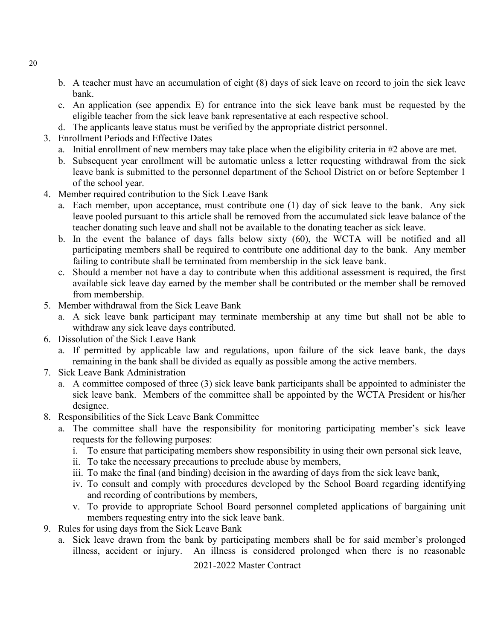- b. A teacher must have an accumulation of eight (8) days of sick leave on record to join the sick leave bank.
- c. An application (see appendix E) for entrance into the sick leave bank must be requested by the eligible teacher from the sick leave bank representative at each respective school.
- d. The applicants leave status must be verified by the appropriate district personnel.
- 3. Enrollment Periods and Effective Dates
	- a. Initial enrollment of new members may take place when the eligibility criteria in #2 above are met.
	- b. Subsequent year enrollment will be automatic unless a letter requesting withdrawal from the sick leave bank is submitted to the personnel department of the School District on or before September 1 of the school year.
- 4. Member required contribution to the Sick Leave Bank
	- a. Each member, upon acceptance, must contribute one (1) day of sick leave to the bank. Any sick leave pooled pursuant to this article shall be removed from the accumulated sick leave balance of the teacher donating such leave and shall not be available to the donating teacher as sick leave.
	- b. In the event the balance of days falls below sixty (60), the WCTA will be notified and all participating members shall be required to contribute one additional day to the bank. Any member failing to contribute shall be terminated from membership in the sick leave bank.
	- c. Should a member not have a day to contribute when this additional assessment is required, the first available sick leave day earned by the member shall be contributed or the member shall be removed from membership.
- 5. Member withdrawal from the Sick Leave Bank
	- a. A sick leave bank participant may terminate membership at any time but shall not be able to withdraw any sick leave days contributed.
- 6. Dissolution of the Sick Leave Bank
	- a. If permitted by applicable law and regulations, upon failure of the sick leave bank, the days remaining in the bank shall be divided as equally as possible among the active members.
- 7. Sick Leave Bank Administration
	- a. A committee composed of three (3) sick leave bank participants shall be appointed to administer the sick leave bank. Members of the committee shall be appointed by the WCTA President or his/her designee.
- 8. Responsibilities of the Sick Leave Bank Committee
	- a. The committee shall have the responsibility for monitoring participating member's sick leave requests for the following purposes:
		- i. To ensure that participating members show responsibility in using their own personal sick leave,
		- ii. To take the necessary precautions to preclude abuse by members,
		- iii. To make the final (and binding) decision in the awarding of days from the sick leave bank,
		- iv. To consult and comply with procedures developed by the School Board regarding identifying and recording of contributions by members,
		- v. To provide to appropriate School Board personnel completed applications of bargaining unit members requesting entry into the sick leave bank.
- 9. Rules for using days from the Sick Leave Bank
	- a. Sick leave drawn from the bank by participating members shall be for said member's prolonged illness, accident or injury. An illness is considered prolonged when there is no reasonable

2021-2022 Master Contract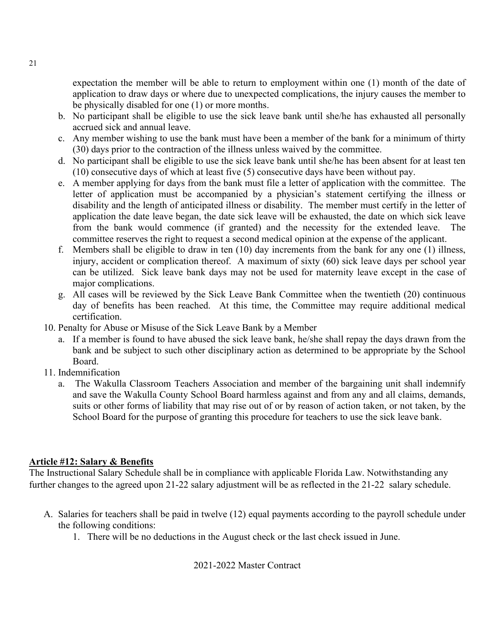expectation the member will be able to return to employment within one (1) month of the date of application to draw days or where due to unexpected complications, the injury causes the member to be physically disabled for one (1) or more months.

- b. No participant shall be eligible to use the sick leave bank until she/he has exhausted all personally accrued sick and annual leave.
- c. Any member wishing to use the bank must have been a member of the bank for a minimum of thirty (30) days prior to the contraction of the illness unless waived by the committee.
- d. No participant shall be eligible to use the sick leave bank until she/he has been absent for at least ten (10) consecutive days of which at least five (5) consecutive days have been without pay.
- e. A member applying for days from the bank must file a letter of application with the committee. The letter of application must be accompanied by a physician's statement certifying the illness or disability and the length of anticipated illness or disability. The member must certify in the letter of application the date leave began, the date sick leave will be exhausted, the date on which sick leave from the bank would commence (if granted) and the necessity for the extended leave. The committee reserves the right to request a second medical opinion at the expense of the applicant.
- f. Members shall be eligible to draw in ten (10) day increments from the bank for any one (1) illness, injury, accident or complication thereof. A maximum of sixty (60) sick leave days per school year can be utilized. Sick leave bank days may not be used for maternity leave except in the case of major complications.
- g. All cases will be reviewed by the Sick Leave Bank Committee when the twentieth (20) continuous day of benefits has been reached. At this time, the Committee may require additional medical certification.
- 10. Penalty for Abuse or Misuse of the Sick Leave Bank by a Member
	- a. If a member is found to have abused the sick leave bank, he/she shall repay the days drawn from the bank and be subject to such other disciplinary action as determined to be appropriate by the School Board.
- 11. Indemnification
	- a. The Wakulla Classroom Teachers Association and member of the bargaining unit shall indemnify and save the Wakulla County School Board harmless against and from any and all claims, demands, suits or other forms of liability that may rise out of or by reason of action taken, or not taken, by the School Board for the purpose of granting this procedure for teachers to use the sick leave bank.

#### <span id="page-21-0"></span>**Article #12: Salary & Benefits**

The Instructional Salary Schedule shall be in compliance with applicable Florida Law. Notwithstanding any further changes to the agreed upon 21-22 salary adjustment will be as reflected in the 21-22 salary schedule.

- A. Salaries for teachers shall be paid in twelve (12) equal payments according to the payroll schedule under the following conditions:
	- 1. There will be no deductions in the August check or the last check issued in June.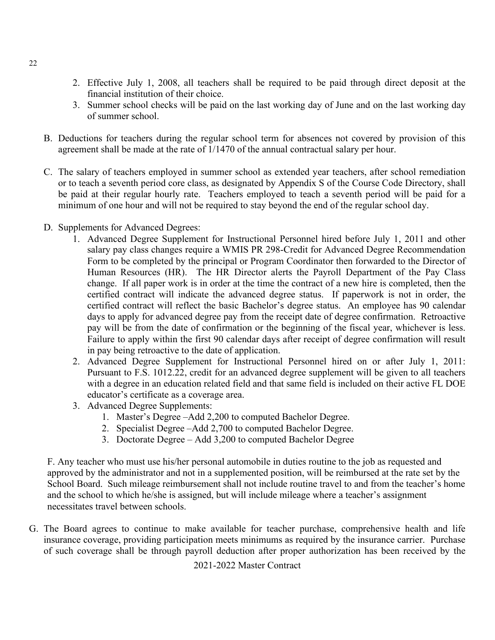- 2. Effective July 1, 2008, all teachers shall be required to be paid through direct deposit at the financial institution of their choice.
- 3. Summer school checks will be paid on the last working day of June and on the last working day of summer school.
- B. Deductions for teachers during the regular school term for absences not covered by provision of this agreement shall be made at the rate of 1/1470 of the annual contractual salary per hour.
- C. The salary of teachers employed in summer school as extended year teachers, after school remediation or to teach a seventh period core class, as designated by Appendix S of the Course Code Directory, shall be paid at their regular hourly rate. Teachers employed to teach a seventh period will be paid for a minimum of one hour and will not be required to stay beyond the end of the regular school day.
- D. Supplements for Advanced Degrees:
	- 1. Advanced Degree Supplement for Instructional Personnel hired before July 1, 2011 and other salary pay class changes require a WMIS PR 298-Credit for Advanced Degree Recommendation Form to be completed by the principal or Program Coordinator then forwarded to the Director of Human Resources (HR). The HR Director alerts the Payroll Department of the Pay Class change. If all paper work is in order at the time the contract of a new hire is completed, then the certified contract will indicate the advanced degree status. If paperwork is not in order, the certified contract will reflect the basic Bachelor's degree status. An employee has 90 calendar days to apply for advanced degree pay from the receipt date of degree confirmation. Retroactive pay will be from the date of confirmation or the beginning of the fiscal year, whichever is less. Failure to apply within the first 90 calendar days after receipt of degree confirmation will result in pay being retroactive to the date of application.
	- 2. Advanced Degree Supplement for Instructional Personnel hired on or after July 1, 2011: Pursuant to F.S. 1012.22, credit for an advanced degree supplement will be given to all teachers with a degree in an education related field and that same field is included on their active FL DOE educator's certificate as a coverage area.
	- 3. Advanced Degree Supplements:
		- 1. Master's Degree –Add 2,200 to computed Bachelor Degree.
		- 2. Specialist Degree –Add 2,700 to computed Bachelor Degree.
		- 3. Doctorate Degree Add 3,200 to computed Bachelor Degree

F. Any teacher who must use his/her personal automobile in duties routine to the job as requested and approved by the administrator and not in a supplemented position, will be reimbursed at the rate set by the School Board. Such mileage reimbursement shall not include routine travel to and from the teacher's home and the school to which he/she is assigned, but will include mileage where a teacher's assignment necessitates travel between schools.

G. The Board agrees to continue to make available for teacher purchase, comprehensive health and life insurance coverage, providing participation meets minimums as required by the insurance carrier. Purchase of such coverage shall be through payroll deduction after proper authorization has been received by the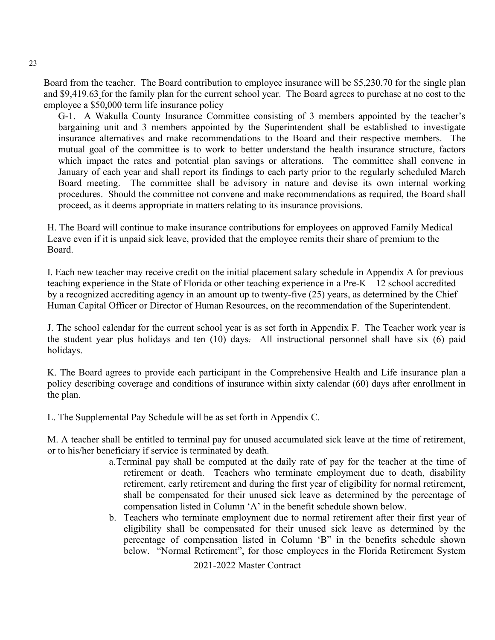Board from the teacher. The Board contribution to employee insurance will be \$5,230.70 for the single plan and \$9,419.63 for the family plan for the current school year. The Board agrees to purchase at no cost to the employee a \$50,000 term life insurance policy

G-1. A Wakulla County Insurance Committee consisting of 3 members appointed by the teacher's bargaining unit and 3 members appointed by the Superintendent shall be established to investigate insurance alternatives and make recommendations to the Board and their respective members. The mutual goal of the committee is to work to better understand the health insurance structure, factors which impact the rates and potential plan savings or alterations. The committee shall convene in January of each year and shall report its findings to each party prior to the regularly scheduled March Board meeting. The committee shall be advisory in nature and devise its own internal working procedures. Should the committee not convene and make recommendations as required, the Board shall proceed, as it deems appropriate in matters relating to its insurance provisions.

H. The Board will continue to make insurance contributions for employees on approved Family Medical Leave even if it is unpaid sick leave, provided that the employee remits their share of premium to the Board.

I. Each new teacher may receive credit on the initial placement salary schedule in Appendix A for previous teaching experience in the State of Florida or other teaching experience in a Pre-K – 12 school accredited by a recognized accrediting agency in an amount up to twenty-five (25) years, as determined by the Chief Human Capital Officer or Director of Human Resources, on the recommendation of the Superintendent.

J. The school calendar for the current school year is as set forth in Appendix F. The Teacher work year is the student year plus holidays and ten (10) days. All instructional personnel shall have six (6) paid holidays.

K. The Board agrees to provide each participant in the Comprehensive Health and Life insurance plan a policy describing coverage and conditions of insurance within sixty calendar (60) days after enrollment in the plan.

L. The Supplemental Pay Schedule will be as set forth in Appendix C.

M. A teacher shall be entitled to terminal pay for unused accumulated sick leave at the time of retirement, or to his/her beneficiary if service is terminated by death.

- a.Terminal pay shall be computed at the daily rate of pay for the teacher at the time of retirement or death. Teachers who terminate employment due to death, disability retirement, early retirement and during the first year of eligibility for normal retirement, shall be compensated for their unused sick leave as determined by the percentage of compensation listed in Column 'A' in the benefit schedule shown below.
- b. Teachers who terminate employment due to normal retirement after their first year of eligibility shall be compensated for their unused sick leave as determined by the percentage of compensation listed in Column 'B" in the benefits schedule shown below. "Normal Retirement", for those employees in the Florida Retirement System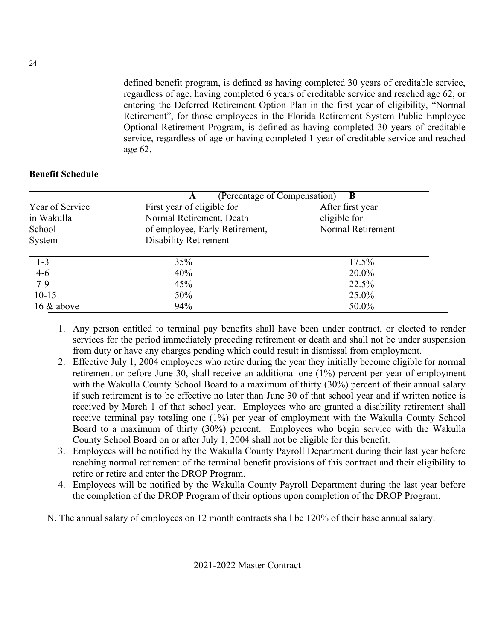defined benefit program, is defined as having completed 30 years of creditable service, regardless of age, having completed 6 years of creditable service and reached age 62, or entering the Deferred Retirement Option Plan in the first year of eligibility, "Normal Retirement", for those employees in the Florida Retirement System Public Employee Optional Retirement Program, is defined as having completed 30 years of creditable service, regardless of age or having completed 1 year of creditable service and reached age 62.

#### **Benefit Schedule**

|                 | (Percentage of Compensation)<br>A | $\mathbf B$       |
|-----------------|-----------------------------------|-------------------|
| Year of Service | First year of eligible for        | After first year  |
| in Wakulla      | Normal Retirement, Death          | eligible for      |
| School          | of employee, Early Retirement,    | Normal Retirement |
| System          | <b>Disability Retirement</b>      |                   |
| $1-3$           | 35%                               | 17.5%             |
| $4 - 6$         | 40%                               | 20.0%             |
| $7-9$           | 45%                               | 22.5%             |
| $10 - 15$       | 50%                               | 25.0%             |
| $16 \&$ above   | 94%                               | 50.0%             |

- 1. Any person entitled to terminal pay benefits shall have been under contract, or elected to render services for the period immediately preceding retirement or death and shall not be under suspension from duty or have any charges pending which could result in dismissal from employment.
- 2. Effective July 1, 2004 employees who retire during the year they initially become eligible for normal retirement or before June 30, shall receive an additional one (1%) percent per year of employment with the Wakulla County School Board to a maximum of thirty (30%) percent of their annual salary if such retirement is to be effective no later than June 30 of that school year and if written notice is received by March 1 of that school year. Employees who are granted a disability retirement shall receive terminal pay totaling one (1%) per year of employment with the Wakulla County School Board to a maximum of thirty (30%) percent. Employees who begin service with the Wakulla County School Board on or after July 1, 2004 shall not be eligible for this benefit.
- 3. Employees will be notified by the Wakulla County Payroll Department during their last year before reaching normal retirement of the terminal benefit provisions of this contract and their eligibility to retire or retire and enter the DROP Program.
- 4. Employees will be notified by the Wakulla County Payroll Department during the last year before the completion of the DROP Program of their options upon completion of the DROP Program.
- N. The annual salary of employees on 12 month contracts shall be 120% of their base annual salary.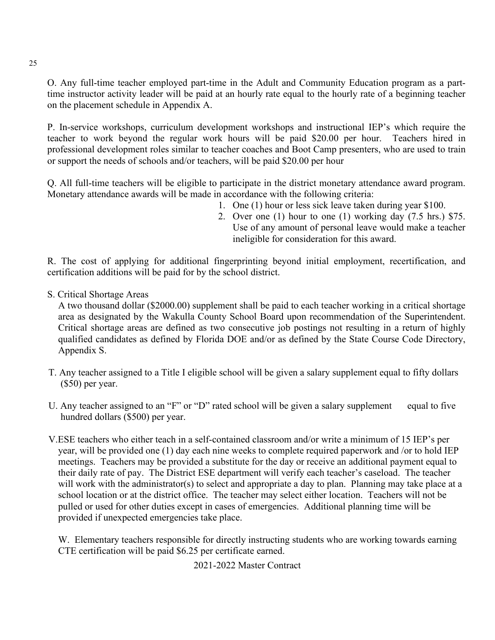O. Any full-time teacher employed part-time in the Adult and Community Education program as a parttime instructor activity leader will be paid at an hourly rate equal to the hourly rate of a beginning teacher on the placement schedule in Appendix A.

P. In-service workshops, curriculum development workshops and instructional IEP's which require the teacher to work beyond the regular work hours will be paid \$20.00 per hour. Teachers hired in professional development roles similar to teacher coaches and Boot Camp presenters, who are used to train or support the needs of schools and/or teachers, will be paid \$20.00 per hour

Q. All full-time teachers will be eligible to participate in the district monetary attendance award program. Monetary attendance awards will be made in accordance with the following criteria:

- 1. One (1) hour or less sick leave taken during year \$100.
- 2. Over one (1) hour to one (1) working day (7.5 hrs.) \$75. Use of any amount of personal leave would make a teacher ineligible for consideration for this award.

R. The cost of applying for additional fingerprinting beyond initial employment, recertification, and certification additions will be paid for by the school district.

S. Critical Shortage Areas

A two thousand dollar (\$2000.00) supplement shall be paid to each teacher working in a critical shortage area as designated by the Wakulla County School Board upon recommendation of the Superintendent. Critical shortage areas are defined as two consecutive job postings not resulting in a return of highly qualified candidates as defined by Florida DOE and/or as defined by the State Course Code Directory, Appendix S.

- T. Any teacher assigned to a Title I eligible school will be given a salary supplement equal to fifty dollars (\$50) per year.
- U. Any teacher assigned to an "F" or "D" rated school will be given a salary supplement equal to five hundred dollars (\$500) per year.
- V.ESE teachers who either teach in a self-contained classroom and/or write a minimum of 15 IEP's per year, will be provided one (1) day each nine weeks to complete required paperwork and /or to hold IEP meetings. Teachers may be provided a substitute for the day or receive an additional payment equal to their daily rate of pay. The District ESE department will verify each teacher's caseload. The teacher will work with the administrator(s) to select and appropriate a day to plan. Planning may take place at a school location or at the district office. The teacher may select either location. Teachers will not be pulled or used for other duties except in cases of emergencies. Additional planning time will be provided if unexpected emergencies take place.

W. Elementary teachers responsible for directly instructing students who are working towards earning CTE certification will be paid \$6.25 per certificate earned.

2021-2022 Master Contract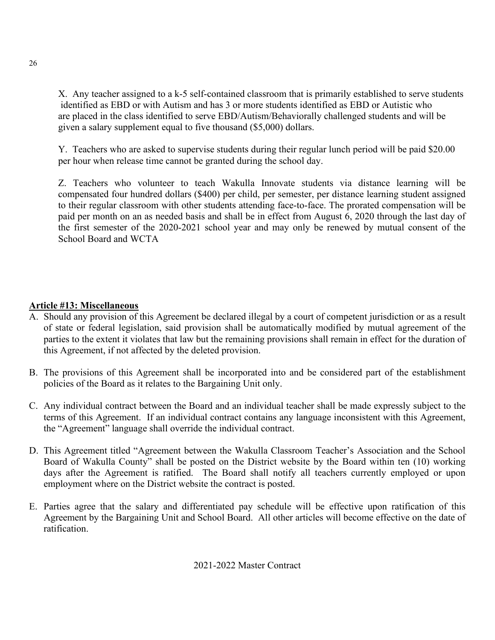X. Any teacher assigned to a k-5 self-contained classroom that is primarily established to serve students identified as EBD or with Autism and has 3 or more students identified as EBD or Autistic who are placed in the class identified to serve EBD/Autism/Behaviorally challenged students and will be given a salary supplement equal to five thousand (\$5,000) dollars.

Y. Teachers who are asked to supervise students during their regular lunch period will be paid \$20.00 per hour when release time cannot be granted during the school day.

Z. Teachers who volunteer to teach Wakulla Innovate students via distance learning will be compensated four hundred dollars (\$400) per child, per semester, per distance learning student assigned to their regular classroom with other students attending face-to-face. The prorated compensation will be paid per month on an as needed basis and shall be in effect from August 6, 2020 through the last day of the first semester of the 2020-2021 school year and may only be renewed by mutual consent of the School Board and WCTA

#### <span id="page-26-0"></span>**Article #13: Miscellaneous**

- A. Should any provision of this Agreement be declared illegal by a court of competent jurisdiction or as a result of state or federal legislation, said provision shall be automatically modified by mutual agreement of the parties to the extent it violates that law but the remaining provisions shall remain in effect for the duration of this Agreement, if not affected by the deleted provision.
- B. The provisions of this Agreement shall be incorporated into and be considered part of the establishment policies of the Board as it relates to the Bargaining Unit only.
- C. Any individual contract between the Board and an individual teacher shall be made expressly subject to the terms of this Agreement. If an individual contract contains any language inconsistent with this Agreement, the "Agreement" language shall override the individual contract.
- D. This Agreement titled "Agreement between the Wakulla Classroom Teacher's Association and the School Board of Wakulla County" shall be posted on the District website by the Board within ten (10) working days after the Agreement is ratified. The Board shall notify all teachers currently employed or upon employment where on the District website the contract is posted.
- E. Parties agree that the salary and differentiated pay schedule will be effective upon ratification of this Agreement by the Bargaining Unit and School Board. All other articles will become effective on the date of ratification.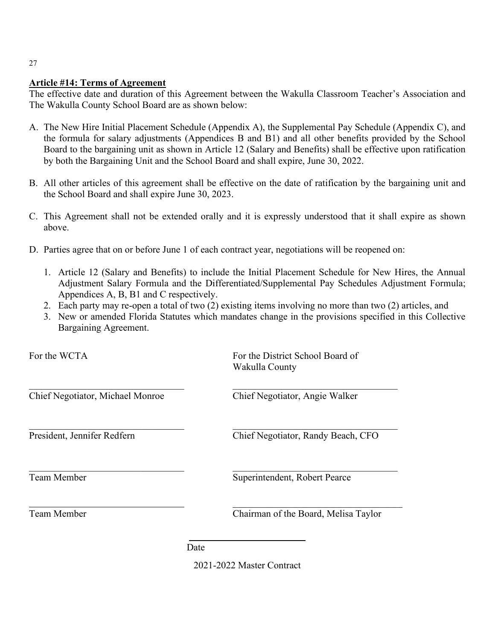#### <span id="page-27-0"></span>**Article #14: Terms of Agreement**

The effective date and duration of this Agreement between the Wakulla Classroom Teacher's Association and The Wakulla County School Board are as shown below:

- A. The New Hire Initial Placement Schedule (Appendix A), the Supplemental Pay Schedule (Appendix C), and the formula for salary adjustments (Appendices B and B1) and all other benefits provided by the School Board to the bargaining unit as shown in Article 12 (Salary and Benefits) shall be effective upon ratification by both the Bargaining Unit and the School Board and shall expire, June 30, 2022.
- B. All other articles of this agreement shall be effective on the date of ratification by the bargaining unit and the School Board and shall expire June 30, 2023.
- C. This Agreement shall not be extended orally and it is expressly understood that it shall expire as shown above.
- D. Parties agree that on or before June 1 of each contract year, negotiations will be reopened on:
	- 1. Article 12 (Salary and Benefits) to include the Initial Placement Schedule for New Hires, the Annual Adjustment Salary Formula and the Differentiated/Supplemental Pay Schedules Adjustment Formula; Appendices A, B, B1 and C respectively.
	- 2. Each party may re-open a total of two (2) existing items involving no more than two (2) articles, and
	- 3. New or amended Florida Statutes which mandates change in the provisions specified in this Collective Bargaining Agreement.

For the WCTA For the District School Board of Wakulla County

Chief Negotiator, Michael Monroe Chief Negotiator, Angie Walker

President, Jennifer Redfern Chief Negotiator, Randy Beach, CFO

Team Member Superintendent, Robert Pearce

 $\overline{\phantom{a}}$  , which is a set of the set of the set of the set of the set of the set of the set of the set of the set of the set of the set of the set of the set of the set of the set of the set of the set of the set of th Team Member Chairman of the Board, Melisa Taylor

<span id="page-27-1"></span>Date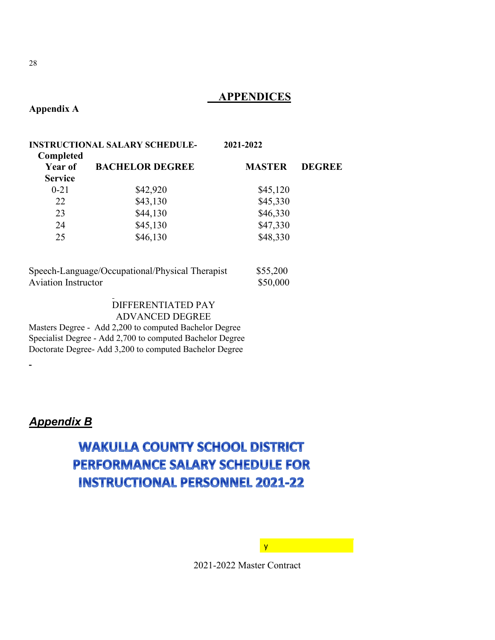#### **APPENDICES**

<span id="page-28-0"></span>**Appendix A**

| <b>INSTRUCTIONAL SALARY SCHEDULE-</b><br>Completed |               |               |
|----------------------------------------------------|---------------|---------------|
| <b>BACHELOR DEGREE</b>                             | <b>MASTER</b> | <b>DEGREE</b> |
| \$42,920                                           | \$45,120      |               |
| \$43,130                                           | \$45,330      |               |
| \$44,130                                           | \$46,330      |               |
| \$45,130                                           | \$47,330      |               |
| \$46,130                                           | \$48,330      |               |
|                                                    |               | 2021-2022     |

| Speech-Language/Occupational/Physical Therapist | \$55,200 |
|-------------------------------------------------|----------|
| <b>Aviation Instructor</b>                      | \$50,000 |

#### DIFFERENTIATED PAY ADVANCED DEGREE

Masters Degree - Add 2,200 to computed Bachelor Degree Specialist Degree - Add 2,700 to computed Bachelor Degree Doctorate Degree- Add 3,200 to computed Bachelor Degree

#### <span id="page-28-1"></span>*Appendix B*

 $\blacksquare$ 

## **WAKULLA COUNTY SCHOOL DISTRICT** PERFORMANCE SALARY SCHEDULE FOR **INSTRUCTIONAL PERSONNEL 2021-22**

2021-2022 Master Contract

y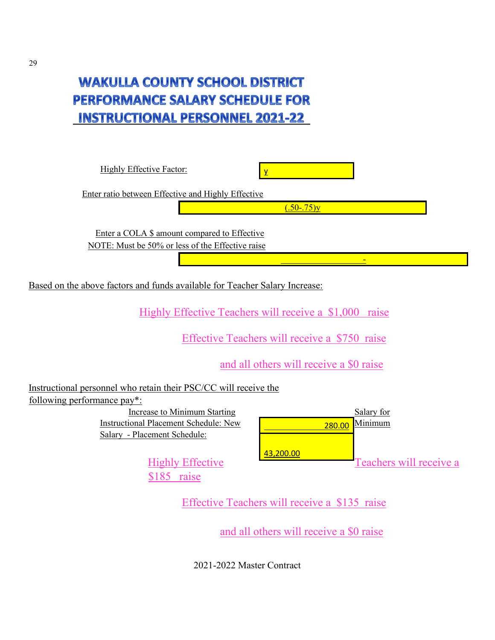## **WAKULLA COUNTY SCHOOL DISTRICT** PERFORMANCE SALARY SCHEDULE FOR **INSTRUCTIONAL PERSONNEL 2021-22**



Effective Teachers will receive a \$135 raise

and all others will receive a \$0 raise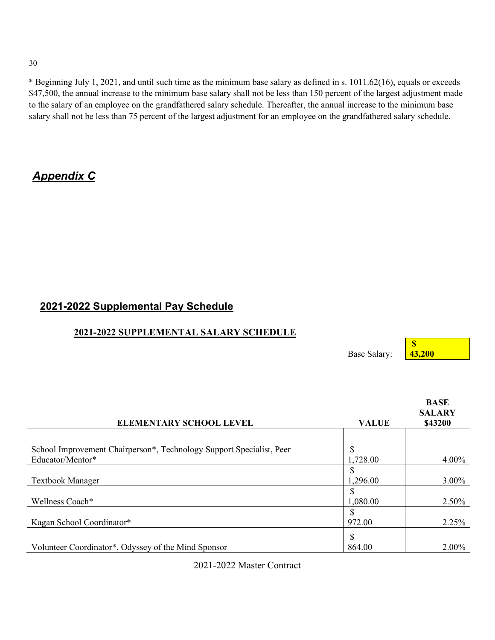30

\* Beginning July 1, 2021, and until such time as the minimum base salary as defined in s. 1011.62(16), equals or exceeds \$47,500, the annual increase to the minimum base salary shall not be less than 150 percent of the largest adjustment made to the salary of an employee on the grandfathered salary schedule. Thereafter, the annual increase to the minimum base salary shall not be less than 75 percent of the largest adjustment for an employee on the grandfathered salary schedule.

### <span id="page-30-0"></span>*Appendix C*

#### **2021-2022 Supplemental Pay Schedule**

#### **2021-2022 SUPPLEMENTAL SALARY SCHEDULE**

Base Salary:

**43,200**

**\$** 

|                                                                      |               | <b>BASE</b><br><b>SALARY</b> |
|----------------------------------------------------------------------|---------------|------------------------------|
| <b>ELEMENTARY SCHOOL LEVEL</b>                                       | <b>VALUE</b>  | \$43200                      |
|                                                                      |               |                              |
| School Improvement Chairperson*, Technology Support Specialist, Peer | \$            |                              |
| Educator/Mentor*                                                     | 1,728.00      | 4.00%                        |
|                                                                      | S             |                              |
| <b>Textbook Manager</b>                                              | 1,296.00      | 3.00%                        |
|                                                                      | <sup>\$</sup> |                              |
| Wellness Coach*                                                      | 1,080.00      | 2.50%                        |
|                                                                      | <sup>\$</sup> |                              |
| Kagan School Coordinator*                                            | 972.00        | 2.25%                        |
|                                                                      | \$            |                              |
| Volunteer Coordinator*, Odyssey of the Mind Sponsor                  | 864.00        | 2.00%                        |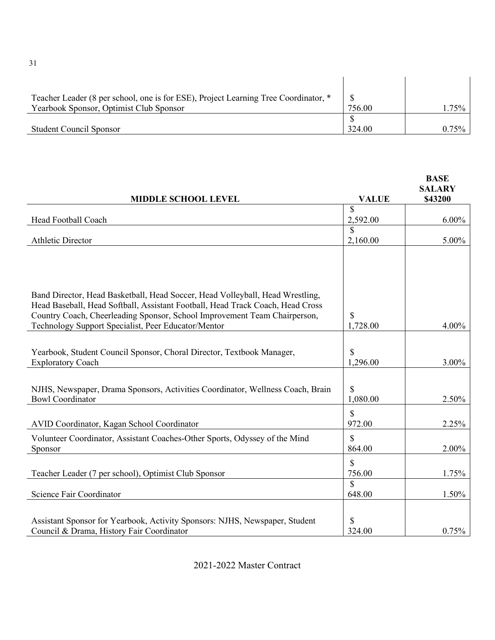| Teacher Leader (8 per school, one is for ESE), Project Learning Tree Coordinator, * |        |       |
|-------------------------------------------------------------------------------------|--------|-------|
| Yearbook Sponsor, Optimist Club Sponsor                                             | 756.00 | 1.75% |
|                                                                                     |        |       |
| <b>Student Council Sponsor</b>                                                      | 324.00 | 0.75% |

|                                                                                |                    | <b>BASE</b><br><b>SALARY</b> |
|--------------------------------------------------------------------------------|--------------------|------------------------------|
| MIDDLE SCHOOL LEVEL                                                            | <b>VALUE</b>       | \$43200                      |
|                                                                                | \$                 |                              |
| Head Football Coach                                                            | 2,592.00<br>\$     | $6.00\%$                     |
| <b>Athletic Director</b>                                                       | 2,160.00           | 5.00%                        |
|                                                                                |                    |                              |
|                                                                                |                    |                              |
|                                                                                |                    |                              |
| Band Director, Head Basketball, Head Soccer, Head Volleyball, Head Wrestling,  |                    |                              |
| Head Baseball, Head Softball, Assistant Football, Head Track Coach, Head Cross |                    |                              |
| Country Coach, Cheerleading Sponsor, School Improvement Team Chairperson,      | \$                 |                              |
| Technology Support Specialist, Peer Educator/Mentor                            | 1,728.00           | 4.00%                        |
|                                                                                |                    |                              |
| Yearbook, Student Council Sponsor, Choral Director, Textbook Manager,          | \$                 |                              |
| <b>Exploratory Coach</b>                                                       | 1,296.00           | 3.00%                        |
|                                                                                |                    |                              |
| NJHS, Newspaper, Drama Sponsors, Activities Coordinator, Wellness Coach, Brain | \$.                |                              |
| <b>Bowl Coordinator</b>                                                        | 1,080.00           | 2.50%                        |
|                                                                                | \$                 |                              |
| AVID Coordinator, Kagan School Coordinator                                     | 972.00             | 2.25%                        |
| Volunteer Coordinator, Assistant Coaches-Other Sports, Odyssey of the Mind     | \$                 |                              |
| Sponsor                                                                        | 864.00             | 2.00%                        |
|                                                                                | \$                 |                              |
| Teacher Leader (7 per school), Optimist Club Sponsor                           | 756.00             | 1.75%                        |
|                                                                                | $\mathbf{\hat{S}}$ |                              |
| Science Fair Coordinator                                                       | 648.00             | 1.50%                        |
|                                                                                |                    |                              |
| Assistant Sponsor for Yearbook, Activity Sponsors: NJHS, Newspaper, Student    | \$                 |                              |
| Council & Drama, History Fair Coordinator                                      | 324.00             | 0.75%                        |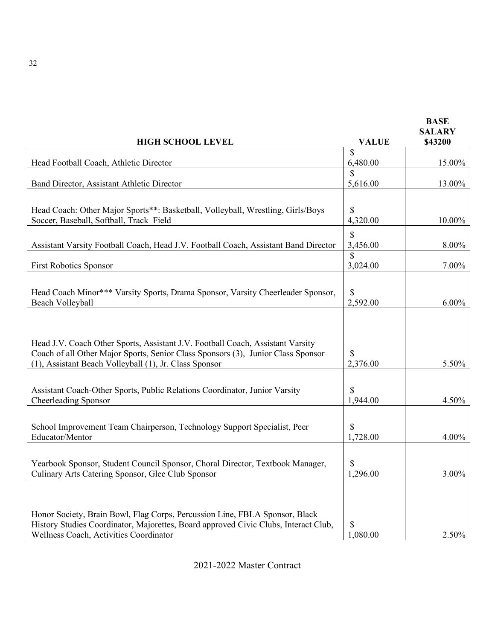|                                                                                                                                                                                                                              |                           | <b>BASE</b><br><b>SALARY</b> |
|------------------------------------------------------------------------------------------------------------------------------------------------------------------------------------------------------------------------------|---------------------------|------------------------------|
| <b>HIGH SCHOOL LEVEL</b>                                                                                                                                                                                                     | <b>VALUE</b>              | \$43200                      |
| Head Football Coach, Athletic Director                                                                                                                                                                                       | \$<br>6,480.00            | 15.00%                       |
| Band Director, Assistant Athletic Director                                                                                                                                                                                   | $\mathcal{S}$<br>5,616.00 | 13.00%                       |
| Head Coach: Other Major Sports**: Basketball, Volleyball, Wrestling, Girls/Boys<br>Soccer, Baseball, Softball, Track Field                                                                                                   | \$.<br>4,320.00           | 10.00%                       |
| Assistant Varsity Football Coach, Head J.V. Football Coach, Assistant Band Director                                                                                                                                          | $\mathbb{S}$<br>3,456.00  | 8.00%                        |
| <b>First Robotics Sponsor</b>                                                                                                                                                                                                | \$<br>3,024.00            | 7.00%                        |
| Head Coach Minor*** Varsity Sports, Drama Sponsor, Varsity Cheerleader Sponsor,<br>Beach Volleyball                                                                                                                          | <sup>\$</sup><br>2,592.00 | $6.00\%$                     |
| Head J.V. Coach Other Sports, Assistant J.V. Football Coach, Assistant Varsity<br>Coach of all Other Major Sports, Senior Class Sponsors (3), Junior Class Sponsor<br>(1), Assistant Beach Volleyball (1), Jr. Class Sponsor | S<br>2,376.00             | 5.50%                        |
| Assistant Coach-Other Sports, Public Relations Coordinator, Junior Varsity<br>Cheerleading Sponsor                                                                                                                           | \$<br>1,944.00            | 4.50%                        |
| School Improvement Team Chairperson, Technology Support Specialist, Peer<br>Educator/Mentor                                                                                                                                  | \$<br>1,728.00            | 4.00%                        |
| Yearbook Sponsor, Student Council Sponsor, Choral Director, Textbook Manager,<br>Culinary Arts Catering Sponsor, Glee Club Sponsor                                                                                           | \$<br>1,296.00            | 3.00%                        |
| Honor Society, Brain Bowl, Flag Corps, Percussion Line, FBLA Sponsor, Black<br>History Studies Coordinator, Majorettes, Board approved Civic Clubs, Interact Club,<br>Wellness Coach, Activities Coordinator                 | S<br>1,080.00             | 2.50%                        |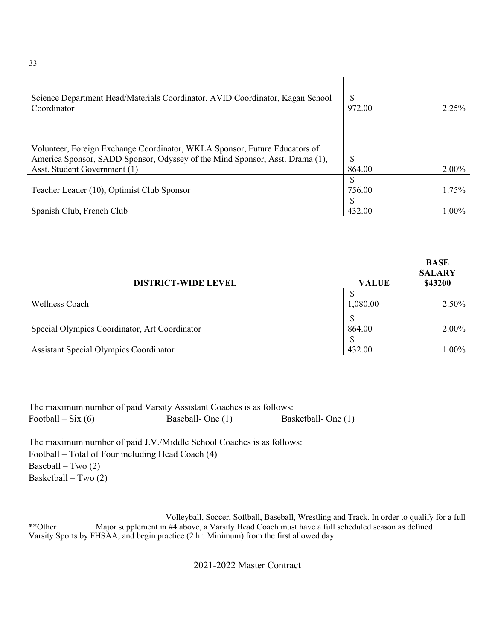| Science Department Head/Materials Coordinator, AVID Coordinator, Kagan School<br>Coordinator                                                                                               | <b>S</b><br>972.00 | 2.25% |
|--------------------------------------------------------------------------------------------------------------------------------------------------------------------------------------------|--------------------|-------|
| Volunteer, Foreign Exchange Coordinator, WKLA Sponsor, Future Educators of<br>America Sponsor, SADD Sponsor, Odyssey of the Mind Sponsor, Asst. Drama (1),<br>Asst. Student Government (1) | S<br>864.00        | 2.00% |
| Teacher Leader (10), Optimist Club Sponsor                                                                                                                                                 | 756.00             | 1.75% |
| Spanish Club, French Club                                                                                                                                                                  | 432.00             | 1.00% |

| <b>DISTRICT-WIDE LEVEL</b>                    | <b>VALUE</b> | <b>BASE</b><br><b>SALARY</b><br>\$43200 |
|-----------------------------------------------|--------------|-----------------------------------------|
|                                               |              |                                         |
| <b>Wellness Coach</b>                         | 1,080.00     | 2.50%                                   |
|                                               | -S           |                                         |
| Special Olympics Coordinator, Art Coordinator | 864.00       | 2.00%                                   |
|                                               | S            |                                         |
| <b>Assistant Special Olympics Coordinator</b> | 432.00       | 1.00%                                   |

The maximum number of paid Varsity Assistant Coaches is as follows: Football – Six (6) Baseball- One (1) Basketball- One (1)

The maximum number of paid J.V./Middle School Coaches is as follows: Football – Total of Four including Head Coach (4) Baseball – Two (2) Basketball – Two (2)

Volleyball, Soccer, Softball, Baseball, Wrestling and Track. In order to qualify for a full \*\*Other Major supplement in #4 above, a Varsity Head Coach must have a full scheduled season as defined Varsity Sports by FHSAA, and begin practice (2 hr. Minimum) from the first allowed day.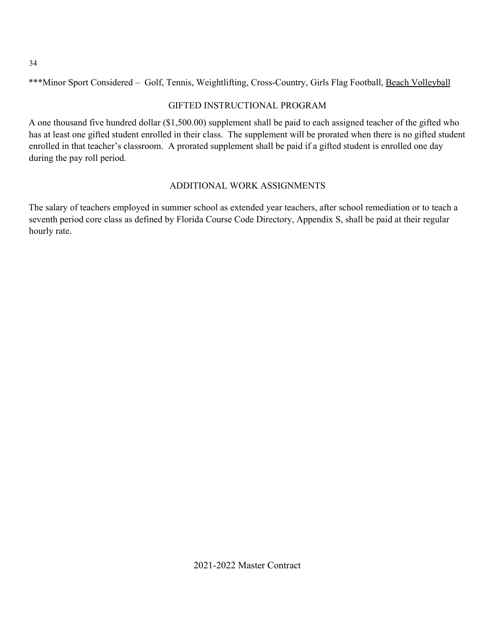\*\*\*Minor Sport Considered – Golf, Tennis, Weightlifting, Cross-Country, Girls Flag Football, Beach Volleyball

#### GIFTED INSTRUCTIONAL PROGRAM

A one thousand five hundred dollar (\$1,500.00) supplement shall be paid to each assigned teacher of the gifted who has at least one gifted student enrolled in their class. The supplement will be prorated when there is no gifted student enrolled in that teacher's classroom. A prorated supplement shall be paid if a gifted student is enrolled one day during the pay roll period.

#### ADDITIONAL WORK ASSIGNMENTS

The salary of teachers employed in summer school as extended year teachers, after school remediation or to teach a seventh period core class as defined by Florida Course Code Directory, Appendix S, shall be paid at their regular hourly rate.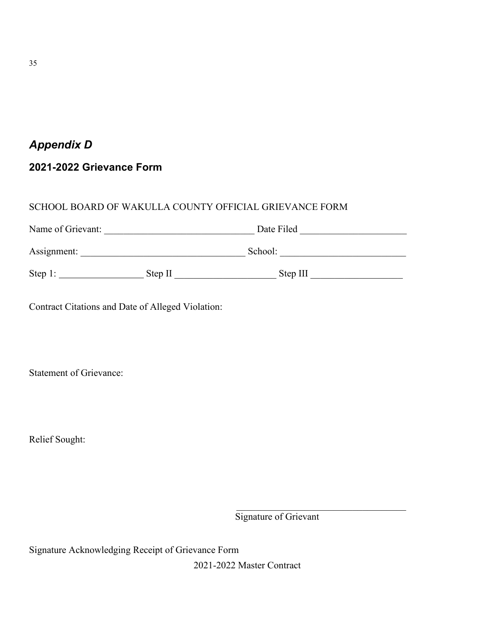## <span id="page-35-0"></span>*Appendix D*

#### <span id="page-35-1"></span>**2021-2022 Grievance Form**

#### SCHOOL BOARD OF WAKULLA COUNTY OFFICIAL GRIEVANCE FORM

| Name of Grievant: |         | Date Filed |  |
|-------------------|---------|------------|--|
| Assignment:       |         | School:    |  |
| Step 1:           | Step II | Step III   |  |

Contract Citations and Date of Alleged Violation:

Statement of Grievance:

Relief Sought:

Signature of Grievant

Signature Acknowledging Receipt of Grievance Form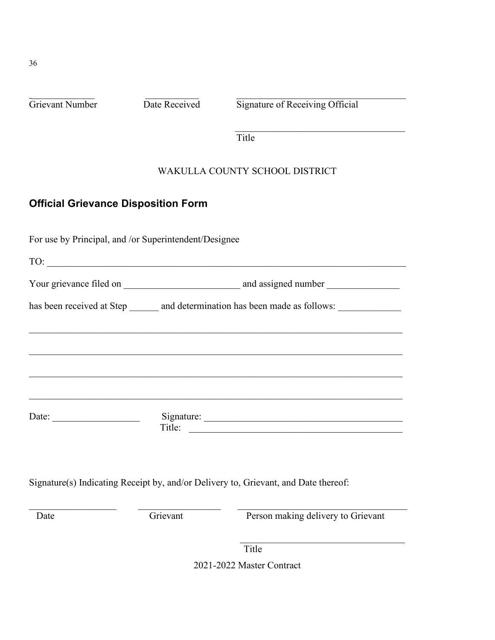Grievant Number Date Received Signature of Receiving Official

Title

#### WAKULLA COUNTY SCHOOL DISTRICT

#### <span id="page-36-0"></span>**Official Grievance Disposition Form**

For use by Principal, and /or Superintendent/Designee TO: \_\_\_\_\_\_\_\_\_\_\_\_\_\_\_\_\_\_\_\_\_\_\_\_\_\_\_\_\_\_\_\_\_\_\_\_\_\_\_\_\_\_\_\_\_\_\_\_\_\_\_\_\_\_\_\_\_\_\_\_\_\_\_\_\_\_\_\_\_\_\_\_\_\_ Your grievance filed on and assigned number and assigned number has been received at Step \_\_\_\_\_\_ and determination has been made as follows: \_\_\_\_\_\_\_\_\_\_\_\_\_\_\_\_\_\_\_\_\_\_\_\_\_\_\_\_\_\_\_\_\_\_\_\_\_\_\_\_\_\_\_\_\_\_\_\_\_\_\_\_\_\_\_\_\_\_\_\_\_\_\_\_\_\_\_\_\_\_\_\_\_\_\_\_\_ \_\_\_\_\_\_\_\_\_\_\_\_\_\_\_\_\_\_\_\_\_\_\_\_\_\_\_\_\_\_\_\_\_\_\_\_\_\_\_\_\_\_\_\_\_\_\_\_\_\_\_\_\_\_\_\_\_\_\_\_\_\_\_\_\_\_\_\_\_\_\_\_\_\_\_\_\_ \_\_\_\_\_\_\_\_\_\_\_\_\_\_\_\_\_\_\_\_\_\_\_\_\_\_\_\_\_\_\_\_\_\_\_\_\_\_\_\_\_\_\_\_\_\_\_\_\_\_\_\_\_\_\_\_\_\_\_\_\_\_\_\_\_\_\_\_\_\_\_\_\_\_\_\_\_ Date: \_\_\_\_\_\_\_\_\_\_\_\_\_\_\_\_\_\_ Signature: \_\_\_\_\_\_\_\_\_\_\_\_\_\_\_\_\_\_\_\_\_\_\_\_\_\_\_\_\_\_\_\_\_\_\_\_\_\_\_\_\_ Title:

Signature(s) Indicating Receipt by, and/or Delivery to, Grievant, and Date thereof:

 $\_$  , and the set of the set of the set of the set of the set of the set of the set of the set of the set of the set of the set of the set of the set of the set of the set of the set of the set of the set of the set of th Date Grievant Grievant Person making delivery to Grievant

 $\mathcal{L}_\mathcal{L}$ 

Title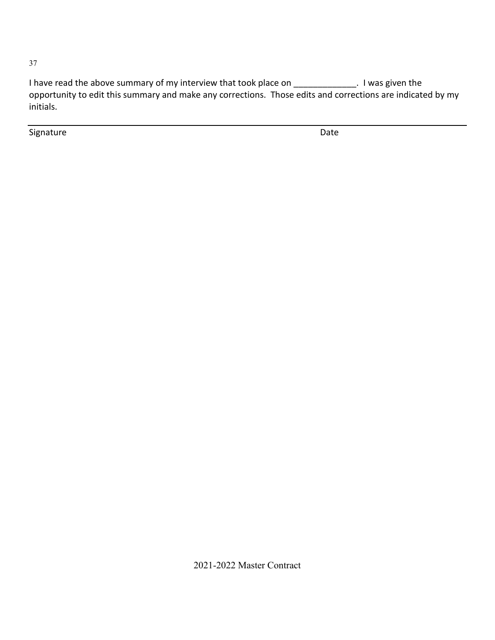I have read the above summary of my interview that took place on \_\_\_\_\_\_\_\_\_\_\_\_\_. I was given the opportunity to edit this summary and make any corrections. Those edits and corrections are indicated by my initials.

**Signature** Date

2021-2022 Master Contract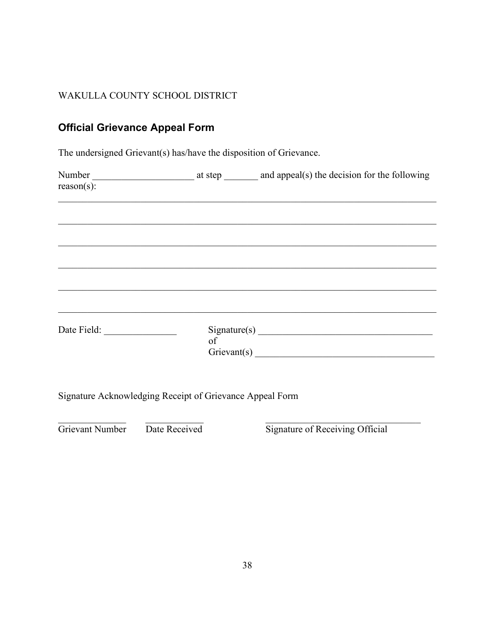#### WAKULLA COUNTY SCHOOL DISTRICT

#### <span id="page-38-0"></span>**Official Grievance Appeal Form**

The undersigned Grievant(s) has/have the disposition of Grievance.

| $reason(s)$ :                                            |  |
|----------------------------------------------------------|--|
|                                                          |  |
|                                                          |  |
|                                                          |  |
|                                                          |  |
|                                                          |  |
| Date Field:                                              |  |
| Signature Acknowledging Receipt of Grievance Appeal Form |  |

 $\_$ 

Grievant Number Date Received Signature of Receiving Official